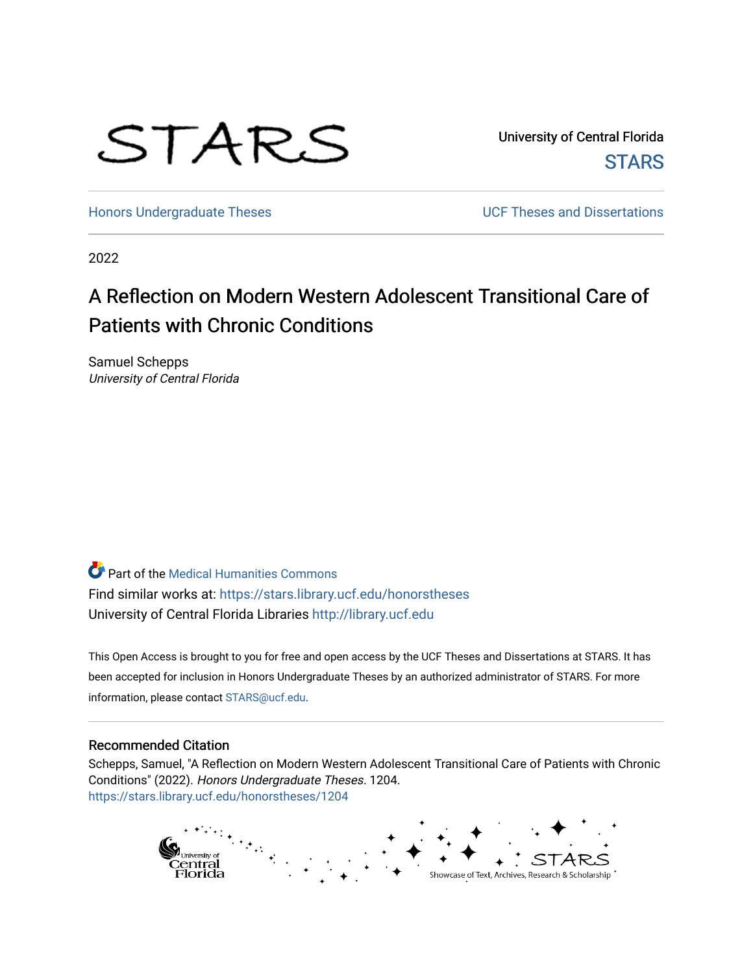

University of Central Florida **STARS** 

[Honors Undergraduate Theses](https://stars.library.ucf.edu/honorstheses) **Exercise 2 and Serverse** UCF Theses and Dissertations

2022

# A Reflection on Modern Western Adolescent Transitional Care of Patients with Chronic Conditions

Samuel Schepps University of Central Florida

Part of the [Medical Humanities Commons](https://network.bepress.com/hgg/discipline/1303?utm_source=stars.library.ucf.edu%2Fhonorstheses%2F1204&utm_medium=PDF&utm_campaign=PDFCoverPages) Find similar works at: <https://stars.library.ucf.edu/honorstheses> University of Central Florida Libraries [http://library.ucf.edu](http://library.ucf.edu/) 

This Open Access is brought to you for free and open access by the UCF Theses and Dissertations at STARS. It has been accepted for inclusion in Honors Undergraduate Theses by an authorized administrator of STARS. For more information, please contact [STARS@ucf.edu.](mailto:STARS@ucf.edu)

#### Recommended Citation

Schepps, Samuel, "A Reflection on Modern Western Adolescent Transitional Care of Patients with Chronic Conditions" (2022). Honors Undergraduate Theses. 1204. [https://stars.library.ucf.edu/honorstheses/1204](https://stars.library.ucf.edu/honorstheses/1204?utm_source=stars.library.ucf.edu%2Fhonorstheses%2F1204&utm_medium=PDF&utm_campaign=PDFCoverPages)

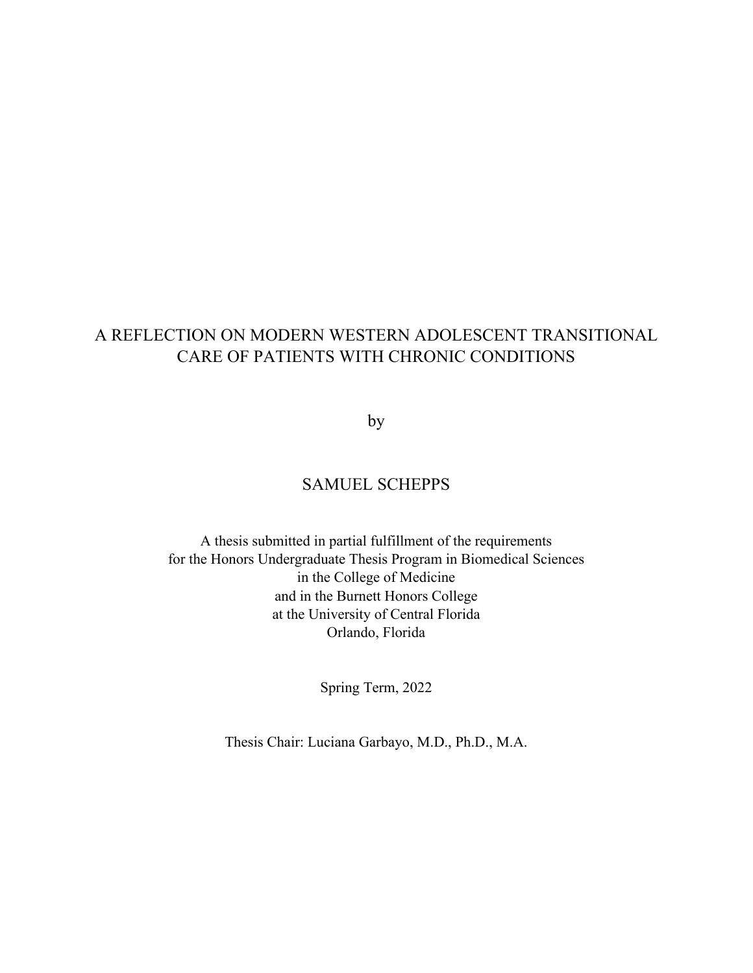## A REFLECTION ON MODERN WESTERN ADOLESCENT TRANSITIONAL CARE OF PATIENTS WITH CHRONIC CONDITIONS

by

## SAMUEL SCHEPPS

A thesis submitted in partial fulfillment of the requirements for the Honors Undergraduate Thesis Program in Biomedical Sciences in the College of Medicine and in the Burnett Honors College at the University of Central Florida Orlando, Florida

Spring Term, 2022

Thesis Chair: Luciana Garbayo, M.D., Ph.D., M.A.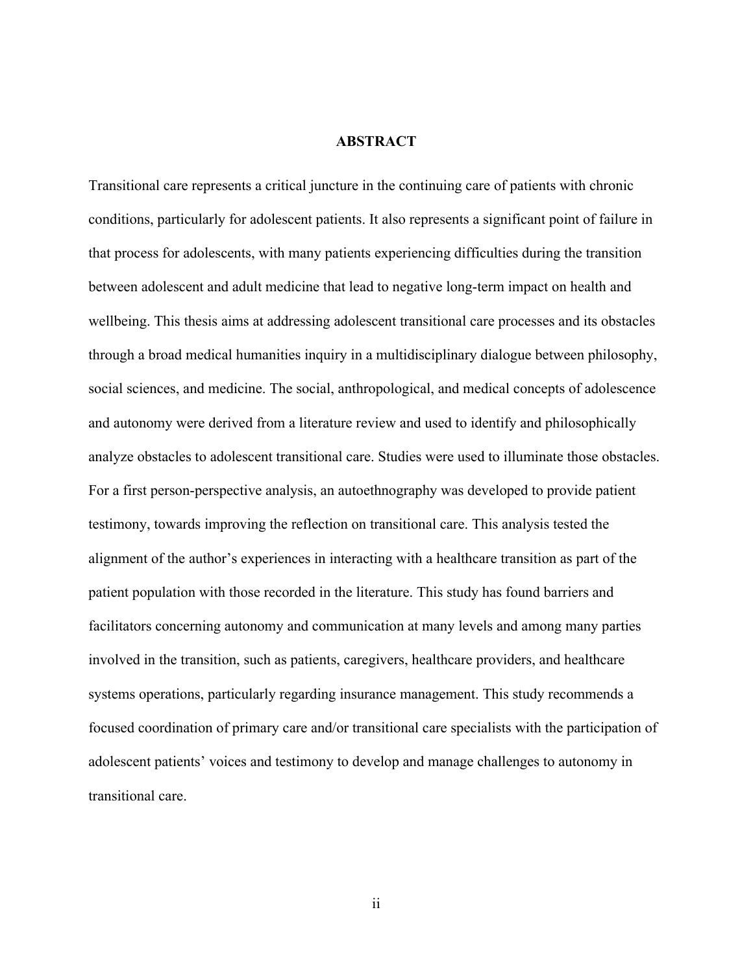### **ABSTRACT**

Transitional care represents a critical juncture in the continuing care of patients with chronic conditions, particularly for adolescent patients. It also represents a significant point of failure in that process for adolescents, with many patients experiencing difficulties during the transition between adolescent and adult medicine that lead to negative long-term impact on health and wellbeing. This thesis aims at addressing adolescent transitional care processes and its obstacles through a broad medical humanities inquiry in a multidisciplinary dialogue between philosophy, social sciences, and medicine. The social, anthropological, and medical concepts of adolescence and autonomy were derived from a literature review and used to identify and philosophically analyze obstacles to adolescent transitional care. Studies were used to illuminate those obstacles. For a first person-perspective analysis, an autoethnography was developed to provide patient testimony, towards improving the reflection on transitional care. This analysis tested the alignment of the author's experiences in interacting with a healthcare transition as part of the patient population with those recorded in the literature. This study has found barriers and facilitators concerning autonomy and communication at many levels and among many parties involved in the transition, such as patients, caregivers, healthcare providers, and healthcare systems operations, particularly regarding insurance management. This study recommends a focused coordination of primary care and/or transitional care specialists with the participation of adolescent patients' voices and testimony to develop and manage challenges to autonomy in transitional care.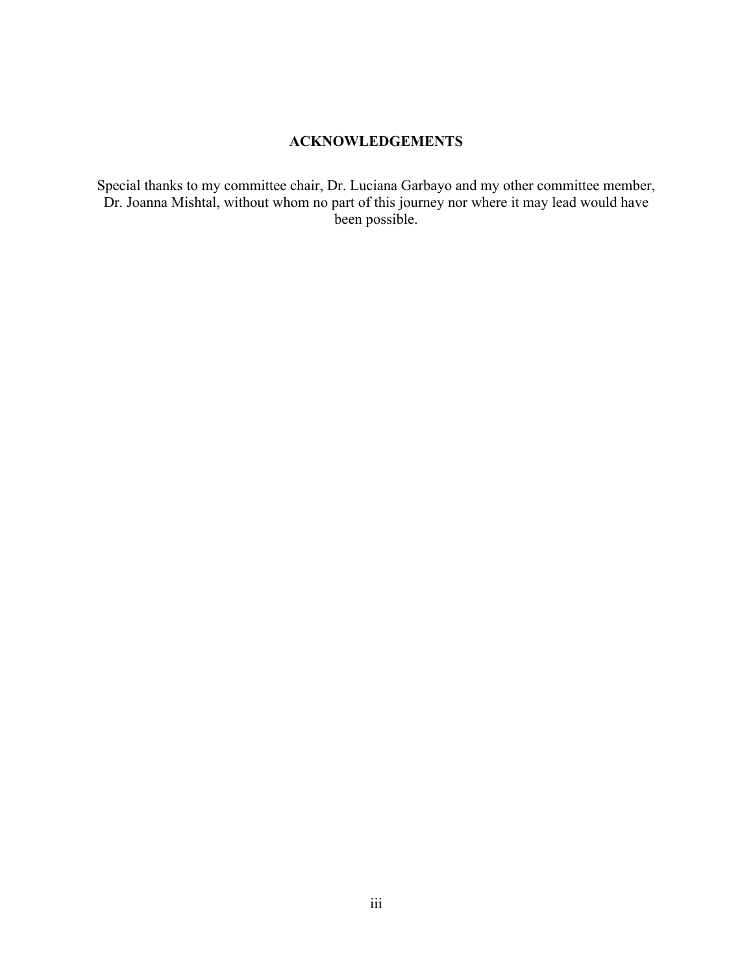## **ACKNOWLEDGEMENTS**

Special thanks to my committee chair, Dr. Luciana Garbayo and my other committee member, Dr. Joanna Mishtal, without whom no part of this journey nor where it may lead would have been possible.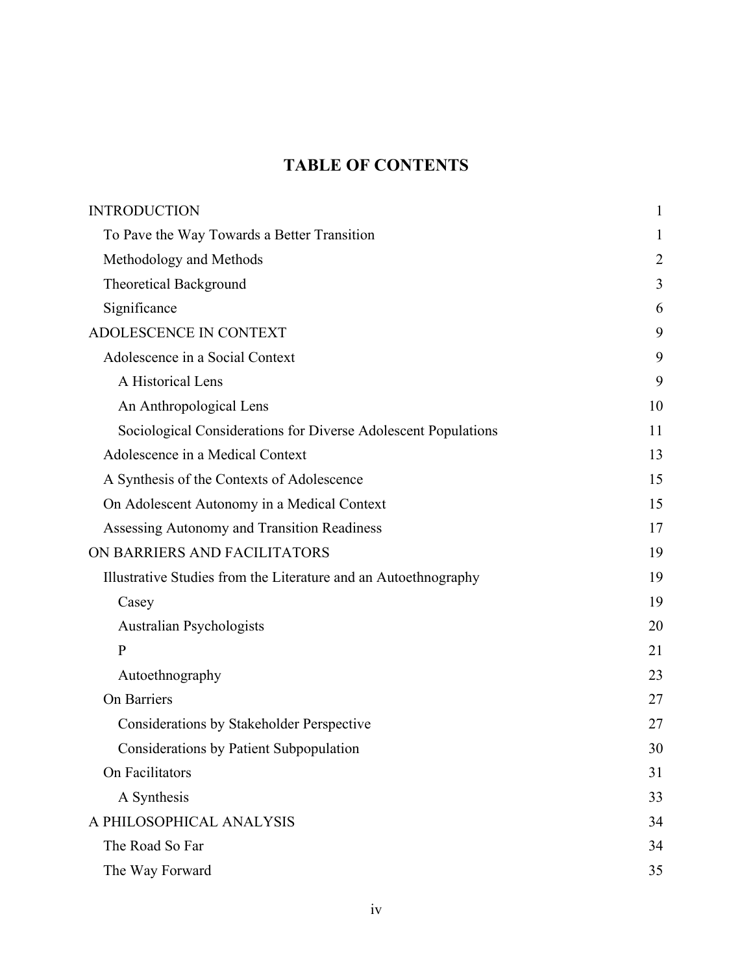## **TABLE OF CONTENTS**

| <b>INTRODUCTION</b>                                             | 1              |
|-----------------------------------------------------------------|----------------|
| To Pave the Way Towards a Better Transition                     | 1              |
| Methodology and Methods                                         | $\overline{2}$ |
| <b>Theoretical Background</b>                                   | 3              |
| Significance                                                    | 6              |
| ADOLESCENCE IN CONTEXT                                          | 9              |
| Adolescence in a Social Context                                 | 9              |
| A Historical Lens                                               | 9              |
| An Anthropological Lens                                         | 10             |
| Sociological Considerations for Diverse Adolescent Populations  | 11             |
| Adolescence in a Medical Context                                | 13             |
| A Synthesis of the Contexts of Adolescence                      | 15             |
| On Adolescent Autonomy in a Medical Context                     | 15             |
| Assessing Autonomy and Transition Readiness                     | 17             |
| ON BARRIERS AND FACILITATORS                                    | 19             |
| Illustrative Studies from the Literature and an Autoethnography | 19             |
| Casey                                                           | 19             |
| Australian Psychologists                                        | 20             |
| $\mathbf{P}$                                                    | 21             |
| Autoethnography                                                 | 23             |
| On Barriers                                                     | 27             |
| Considerations by Stakeholder Perspective                       | 27             |
| Considerations by Patient Subpopulation                         | 30             |
| On Facilitators                                                 | 31             |
| A Synthesis                                                     | 33             |
| A PHILOSOPHICAL ANALYSIS                                        | 34             |
| The Road So Far                                                 | 34             |
| The Way Forward                                                 | 35             |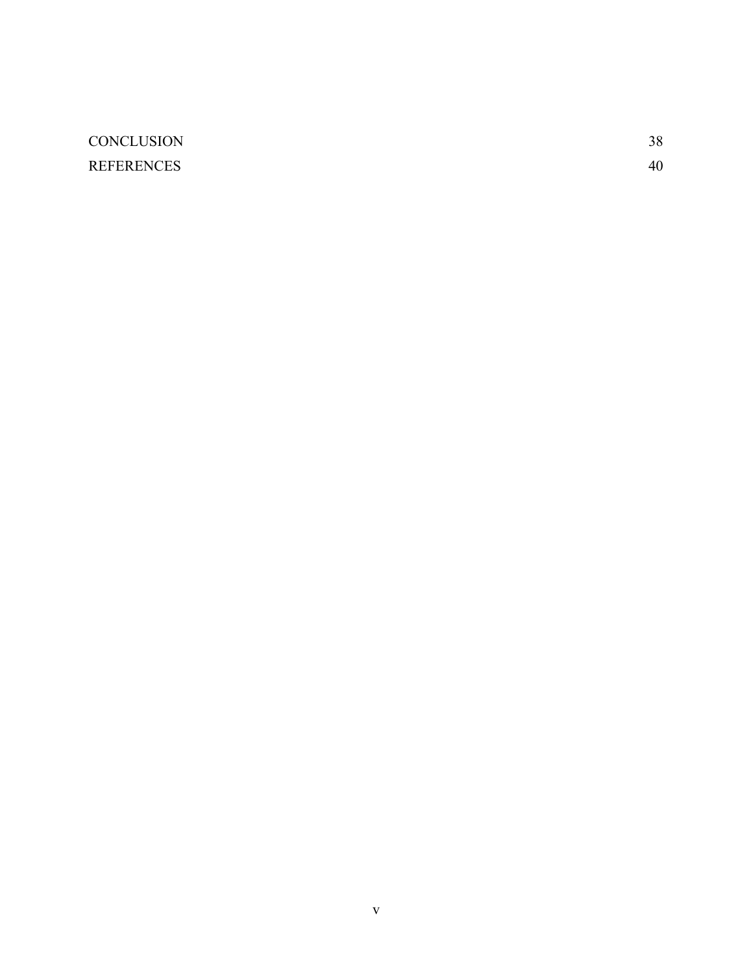## [CONCLUSION](#page-43-0) 38 [REFERENCES](#page-45-0) 40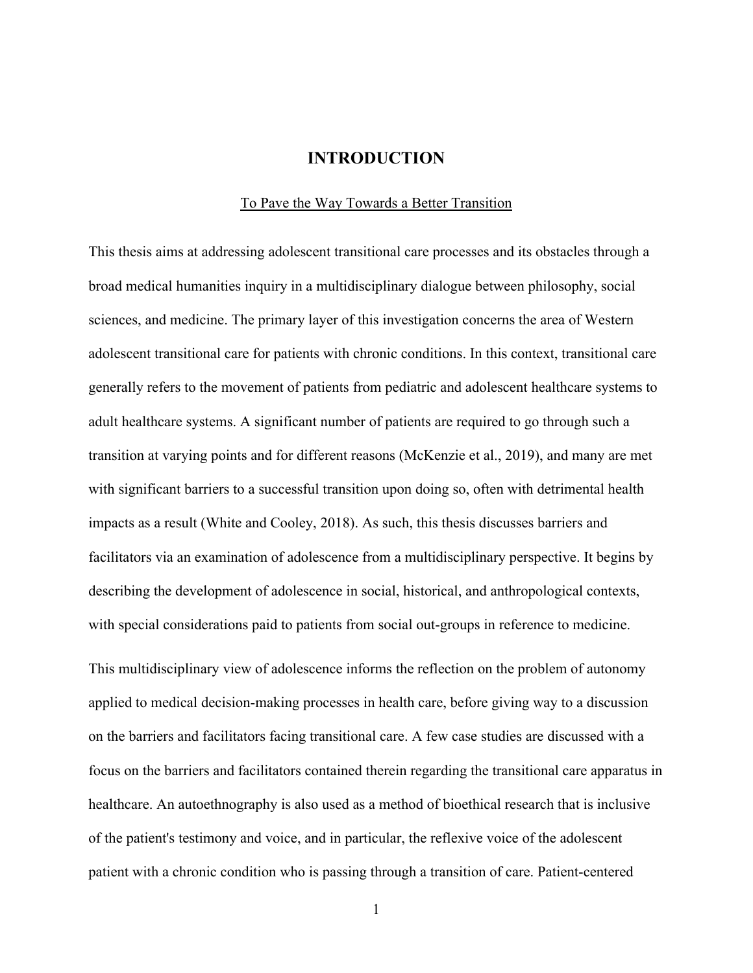## **INTRODUCTION**

#### To Pave the Way Towards a Better Transition

<span id="page-6-1"></span><span id="page-6-0"></span>This thesis aims at addressing adolescent transitional care processes and its obstacles through a broad medical humanities inquiry in a multidisciplinary dialogue between philosophy, social sciences, and medicine. The primary layer of this investigation concerns the area of Western adolescent transitional care for patients with chronic conditions. In this context, transitional care generally refers to the movement of patients from pediatric and adolescent healthcare systems to adult healthcare systems. A significant number of patients are required to go through such a transition at varying points and for different reasons (McKenzie et al., 2019), and many are met with significant barriers to a successful transition upon doing so, often with detrimental health impacts as a result (White and Cooley, 2018). As such, this thesis discusses barriers and facilitators via an examination of adolescence from a multidisciplinary perspective. It begins by describing the development of adolescence in social, historical, and anthropological contexts, with special considerations paid to patients from social out-groups in reference to medicine.

This multidisciplinary view of adolescence informs the reflection on the problem of autonomy applied to medical decision-making processes in health care, before giving way to a discussion on the barriers and facilitators facing transitional care. A few case studies are discussed with a focus on the barriers and facilitators contained therein regarding the transitional care apparatus in healthcare. An autoethnography is also used as a method of bioethical research that is inclusive of the patient's testimony and voice, and in particular, the reflexive voice of the adolescent patient with a chronic condition who is passing through a transition of care. Patient-centered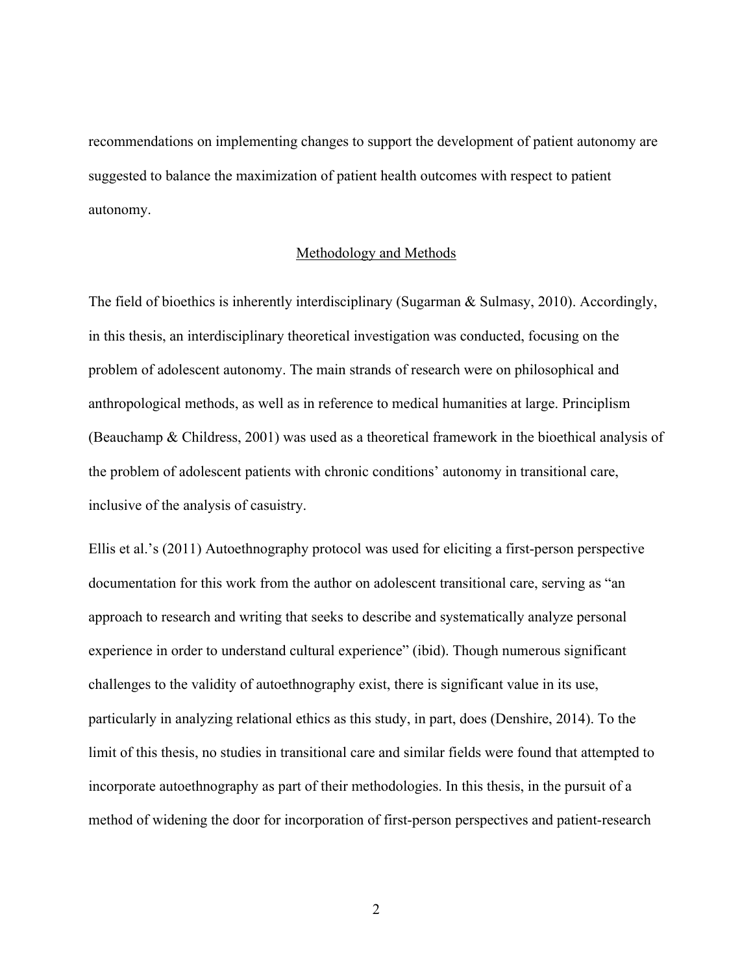recommendations on implementing changes to support the development of patient autonomy are suggested to balance the maximization of patient health outcomes with respect to patient autonomy.

#### Methodology and Methods

<span id="page-7-0"></span>The field of bioethics is inherently interdisciplinary (Sugarman & Sulmasy, 2010). Accordingly, in this thesis, an interdisciplinary theoretical investigation was conducted, focusing on the problem of adolescent autonomy. The main strands of research were on philosophical and anthropological methods, as well as in reference to medical humanities at large. Principlism (Beauchamp & Childress, 2001) was used as a theoretical framework in the bioethical analysis of the problem of adolescent patients with chronic conditions' autonomy in transitional care, inclusive of the analysis of casuistry.

Ellis et al.'s (2011) Autoethnography protocol was used for eliciting a first-person perspective documentation for this work from the author on adolescent transitional care, serving as "an approach to research and writing that seeks to describe and systematically analyze personal experience in order to understand cultural experience" (ibid). Though numerous significant challenges to the validity of autoethnography exist, there is significant value in its use, particularly in analyzing relational ethics as this study, in part, does (Denshire, 2014). To the limit of this thesis, no studies in transitional care and similar fields were found that attempted to incorporate autoethnography as part of their methodologies. In this thesis, in the pursuit of a method of widening the door for incorporation of first-person perspectives and patient-research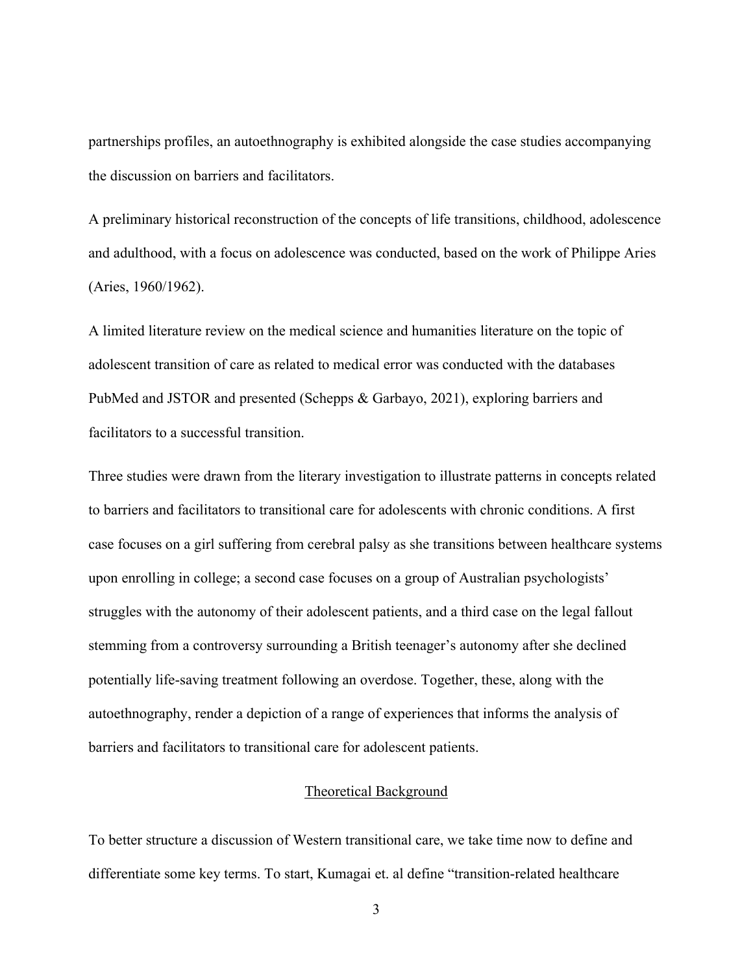partnerships profiles, an autoethnography is exhibited alongside the case studies accompanying the discussion on barriers and facilitators.

A preliminary historical reconstruction of the concepts of life transitions, childhood, adolescence and adulthood, with a focus on adolescence was conducted, based on the work of Philippe Aries (Aries, 1960/1962).

A limited literature review on the medical science and humanities literature on the topic of adolescent transition of care as related to medical error was conducted with the databases PubMed and JSTOR and presented (Schepps & Garbayo, 2021), exploring barriers and facilitators to a successful transition.

Three studies were drawn from the literary investigation to illustrate patterns in concepts related to barriers and facilitators to transitional care for adolescents with chronic conditions. A first case focuses on a girl suffering from cerebral palsy as she transitions between healthcare systems upon enrolling in college; a second case focuses on a group of Australian psychologists' struggles with the autonomy of their adolescent patients, and a third case on the legal fallout stemming from a controversy surrounding a British teenager's autonomy after she declined potentially life-saving treatment following an overdose. Together, these, along with the autoethnography, render a depiction of a range of experiences that informs the analysis of barriers and facilitators to transitional care for adolescent patients.

#### Theoretical Background

<span id="page-8-0"></span>To better structure a discussion of Western transitional care, we take time now to define and differentiate some key terms. To start, Kumagai et. al define "transition-related healthcare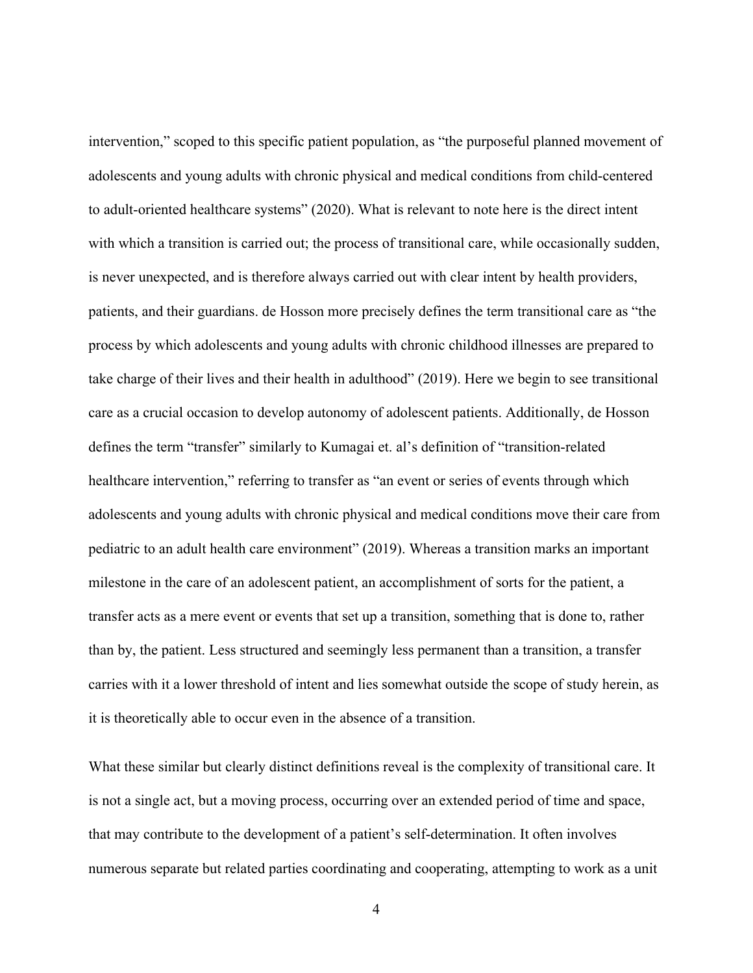intervention," scoped to this specific patient population, as "the purposeful planned movement of adolescents and young adults with chronic physical and medical conditions from child-centered to adult-oriented healthcare systems" (2020). What is relevant to note here is the direct intent with which a transition is carried out; the process of transitional care, while occasionally sudden, is never unexpected, and is therefore always carried out with clear intent by health providers, patients, and their guardians. de Hosson more precisely defines the term transitional care as "the process by which adolescents and young adults with chronic childhood illnesses are prepared to take charge of their lives and their health in adulthood" (2019). Here we begin to see transitional care as a crucial occasion to develop autonomy of adolescent patients. Additionally, de Hosson defines the term "transfer" similarly to Kumagai et. al's definition of "transition-related healthcare intervention," referring to transfer as "an event or series of events through which adolescents and young adults with chronic physical and medical conditions move their care from pediatric to an adult health care environment" (2019). Whereas a transition marks an important milestone in the care of an adolescent patient, an accomplishment of sorts for the patient, a transfer acts as a mere event or events that set up a transition, something that is done to, rather than by, the patient. Less structured and seemingly less permanent than a transition, a transfer carries with it a lower threshold of intent and lies somewhat outside the scope of study herein, as it is theoretically able to occur even in the absence of a transition.

What these similar but clearly distinct definitions reveal is the complexity of transitional care. It is not a single act, but a moving process, occurring over an extended period of time and space, that may contribute to the development of a patient's self-determination. It often involves numerous separate but related parties coordinating and cooperating, attempting to work as a unit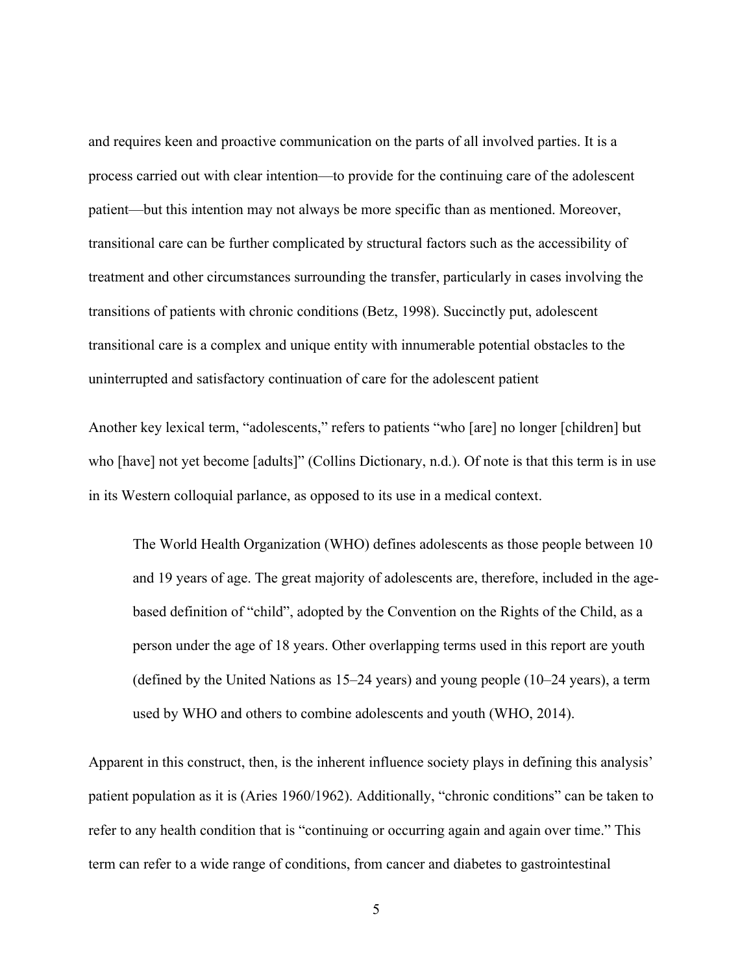and requires keen and proactive communication on the parts of all involved parties. It is a process carried out with clear intention—to provide for the continuing care of the adolescent patient—but this intention may not always be more specific than as mentioned. Moreover, transitional care can be further complicated by structural factors such as the accessibility of treatment and other circumstances surrounding the transfer, particularly in cases involving the transitions of patients with chronic conditions (Betz, 1998). Succinctly put, adolescent transitional care is a complex and unique entity with innumerable potential obstacles to the uninterrupted and satisfactory continuation of care for the adolescent patient

Another key lexical term, "adolescents," refers to patients "who [are] no longer [children] but who [have] not yet become [adults]" (Collins Dictionary, n.d.). Of note is that this term is in use in its Western colloquial parlance, as opposed to its use in a medical context.

The World Health Organization (WHO) defines adolescents as those people between 10 and 19 years of age. The great majority of adolescents are, therefore, included in the agebased definition of "child", adopted by the Convention on the Rights of the Child, as a person under the age of 18 years. Other overlapping terms used in this report are youth (defined by the United Nations as 15–24 years) and young people (10–24 years), a term used by WHO and others to combine adolescents and youth (WHO, 2014).

Apparent in this construct, then, is the inherent influence society plays in defining this analysis' patient population as it is (Aries 1960/1962). Additionally, "chronic conditions" can be taken to refer to any health condition that is "continuing or occurring again and again over time." This term can refer to a wide range of conditions, from cancer and diabetes to gastrointestinal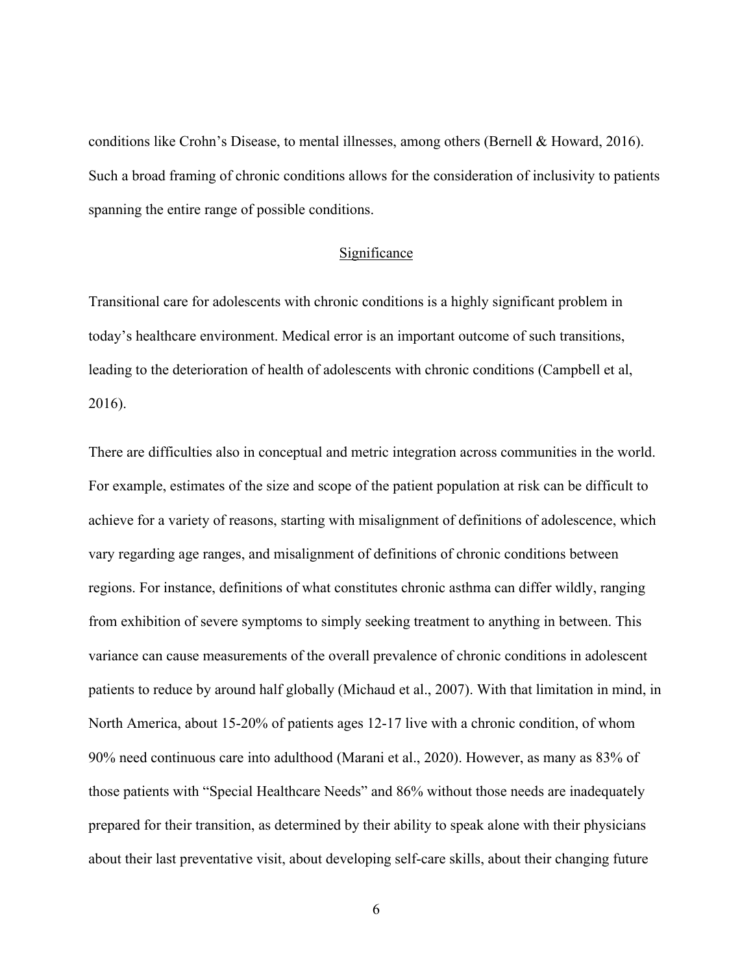conditions like Crohn's Disease, to mental illnesses, among others (Bernell & Howard, 2016). Such a broad framing of chronic conditions allows for the consideration of inclusivity to patients spanning the entire range of possible conditions.

#### Significance

<span id="page-11-0"></span>Transitional care for adolescents with chronic conditions is a highly significant problem in today's healthcare environment. Medical error is an important outcome of such transitions, leading to the deterioration of health of adolescents with chronic conditions (Campbell et al, 2016).

There are difficulties also in conceptual and metric integration across communities in the world. For example, estimates of the size and scope of the patient population at risk can be difficult to achieve for a variety of reasons, starting with misalignment of definitions of adolescence, which vary regarding age ranges, and misalignment of definitions of chronic conditions between regions. For instance, definitions of what constitutes chronic asthma can differ wildly, ranging from exhibition of severe symptoms to simply seeking treatment to anything in between. This variance can cause measurements of the overall prevalence of chronic conditions in adolescent patients to reduce by around half globally (Michaud et al., 2007). With that limitation in mind, in North America, about 15-20% of patients ages 12-17 live with a chronic condition, of whom 90% need continuous care into adulthood (Marani et al., 2020). However, as many as 83% of those patients with "Special Healthcare Needs" and 86% without those needs are inadequately prepared for their transition, as determined by their ability to speak alone with their physicians about their last preventative visit, about developing self-care skills, about their changing future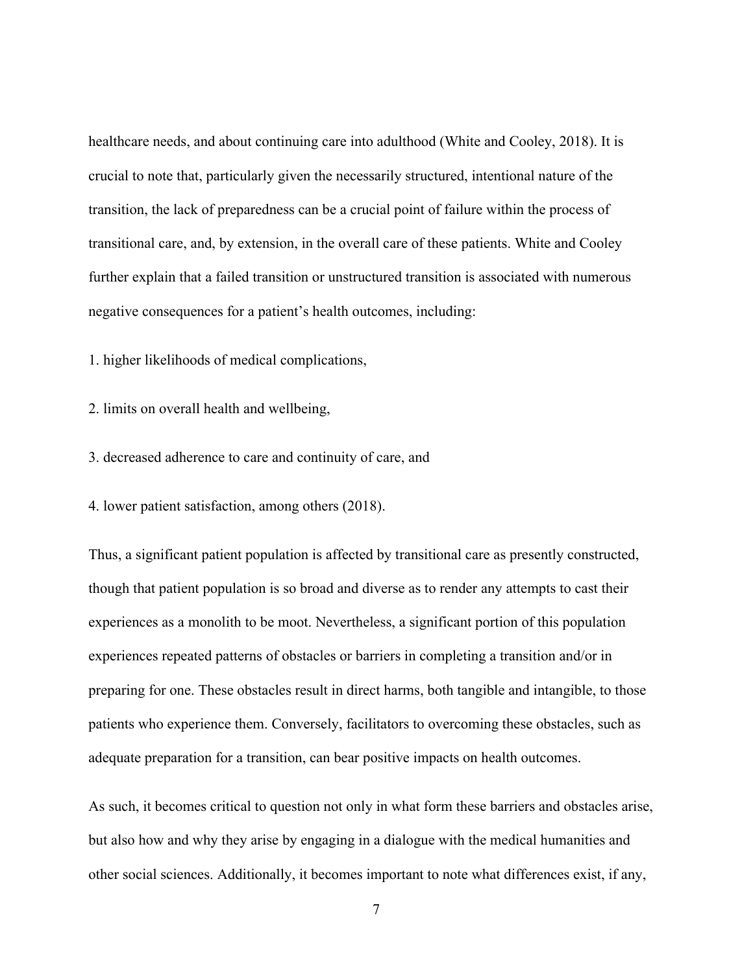healthcare needs, and about continuing care into adulthood (White and Cooley, 2018). It is crucial to note that, particularly given the necessarily structured, intentional nature of the transition, the lack of preparedness can be a crucial point of failure within the process of transitional care, and, by extension, in the overall care of these patients. White and Cooley further explain that a failed transition or unstructured transition is associated with numerous negative consequences for a patient's health outcomes, including:

1. higher likelihoods of medical complications,

2. limits on overall health and wellbeing,

3. decreased adherence to care and continuity of care, and

4. lower patient satisfaction, among others (2018).

Thus, a significant patient population is affected by transitional care as presently constructed, though that patient population is so broad and diverse as to render any attempts to cast their experiences as a monolith to be moot. Nevertheless, a significant portion of this population experiences repeated patterns of obstacles or barriers in completing a transition and/or in preparing for one. These obstacles result in direct harms, both tangible and intangible, to those patients who experience them. Conversely, facilitators to overcoming these obstacles, such as adequate preparation for a transition, can bear positive impacts on health outcomes.

As such, it becomes critical to question not only in what form these barriers and obstacles arise, but also how and why they arise by engaging in a dialogue with the medical humanities and other social sciences. Additionally, it becomes important to note what differences exist, if any,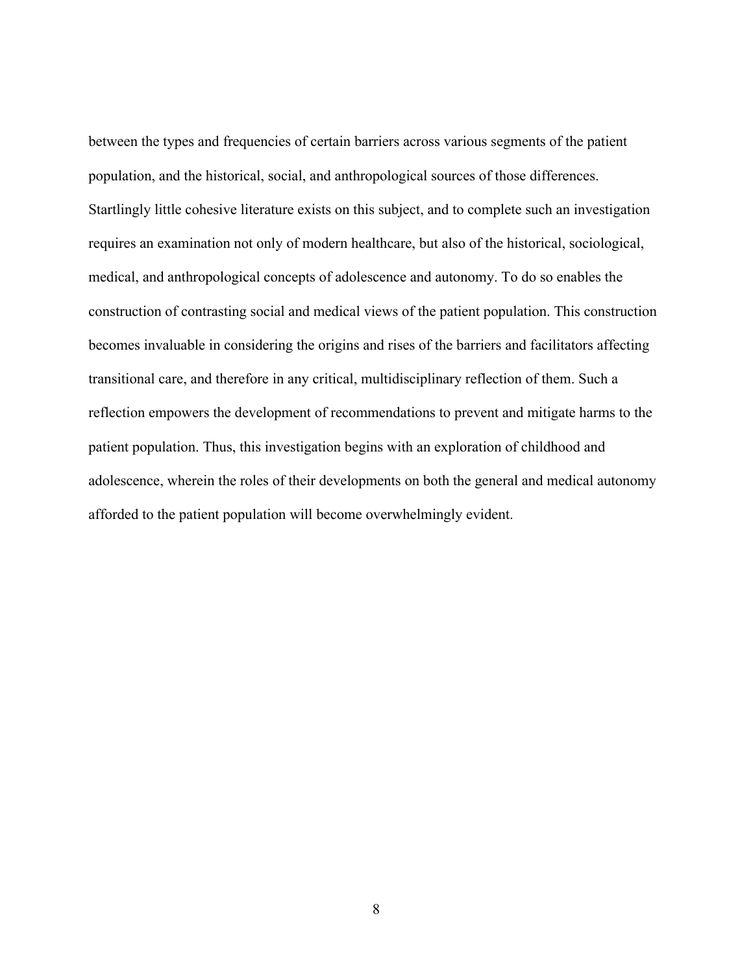between the types and frequencies of certain barriers across various segments of the patient population, and the historical, social, and anthropological sources of those differences. Startlingly little cohesive literature exists on this subject, and to complete such an investigation requires an examination not only of modern healthcare, but also of the historical, sociological, medical, and anthropological concepts of adolescence and autonomy. To do so enables the construction of contrasting social and medical views of the patient population. This construction becomes invaluable in considering the origins and rises of the barriers and facilitators affecting transitional care, and therefore in any critical, multidisciplinary reflection of them. Such a reflection empowers the development of recommendations to prevent and mitigate harms to the patient population. Thus, this investigation begins with an exploration of childhood and adolescence, wherein the roles of their developments on both the general and medical autonomy afforded to the patient population will become overwhelmingly evident.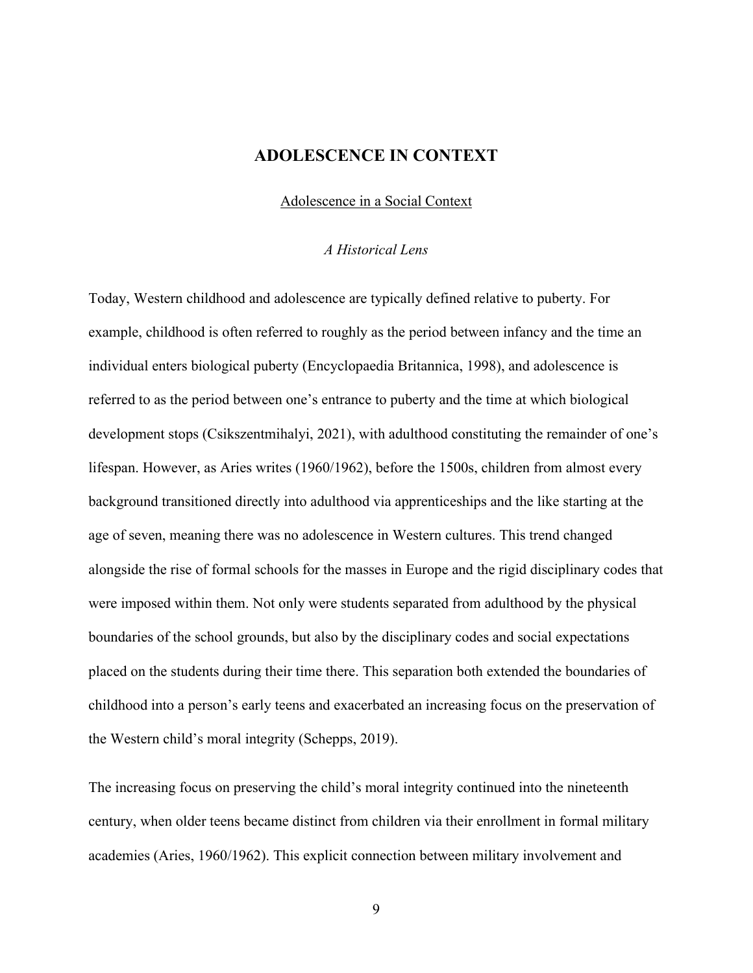## **ADOLESCENCE IN CONTEXT**

#### Adolescence in a Social Context

#### *A Historical Lens*

<span id="page-14-2"></span><span id="page-14-1"></span><span id="page-14-0"></span>Today, Western childhood and adolescence are typically defined relative to puberty. For example, childhood is often referred to roughly as the period between infancy and the time an individual enters biological puberty (Encyclopaedia Britannica, 1998), and adolescence is referred to as the period between one's entrance to puberty and the time at which biological development stops (Csikszentmihalyi, 2021), with adulthood constituting the remainder of one's lifespan. However, as Aries writes (1960/1962), before the 1500s, children from almost every background transitioned directly into adulthood via apprenticeships and the like starting at the age of seven, meaning there was no adolescence in Western cultures. This trend changed alongside the rise of formal schools for the masses in Europe and the rigid disciplinary codes that were imposed within them. Not only were students separated from adulthood by the physical boundaries of the school grounds, but also by the disciplinary codes and social expectations placed on the students during their time there. This separation both extended the boundaries of childhood into a person's early teens and exacerbated an increasing focus on the preservation of the Western child's moral integrity (Schepps, 2019).

The increasing focus on preserving the child's moral integrity continued into the nineteenth century, when older teens became distinct from children via their enrollment in formal military academies (Aries, 1960/1962). This explicit connection between military involvement and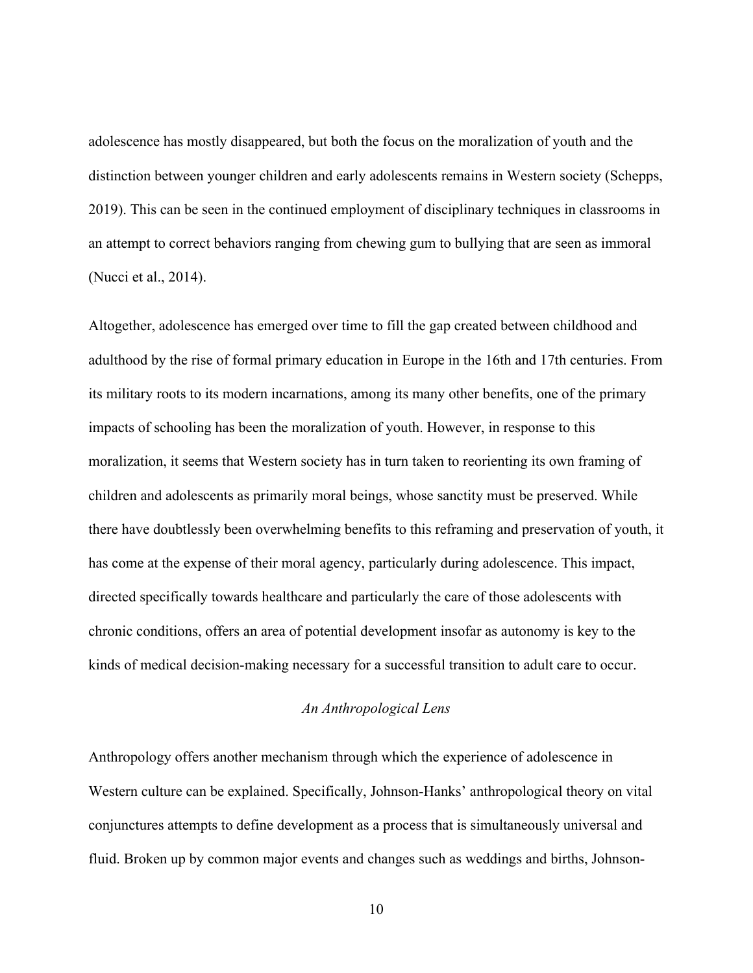adolescence has mostly disappeared, but both the focus on the moralization of youth and the distinction between younger children and early adolescents remains in Western society (Schepps, 2019). This can be seen in the continued employment of disciplinary techniques in classrooms in an attempt to correct behaviors ranging from chewing gum to bullying that are seen as immoral (Nucci et al., 2014).

Altogether, adolescence has emerged over time to fill the gap created between childhood and adulthood by the rise of formal primary education in Europe in the 16th and 17th centuries. From its military roots to its modern incarnations, among its many other benefits, one of the primary impacts of schooling has been the moralization of youth. However, in response to this moralization, it seems that Western society has in turn taken to reorienting its own framing of children and adolescents as primarily moral beings, whose sanctity must be preserved. While there have doubtlessly been overwhelming benefits to this reframing and preservation of youth, it has come at the expense of their moral agency, particularly during adolescence. This impact, directed specifically towards healthcare and particularly the care of those adolescents with chronic conditions, offers an area of potential development insofar as autonomy is key to the kinds of medical decision-making necessary for a successful transition to adult care to occur.

#### *An Anthropological Lens*

<span id="page-15-0"></span>Anthropology offers another mechanism through which the experience of adolescence in Western culture can be explained. Specifically, Johnson-Hanks' anthropological theory on vital conjunctures attempts to define development as a process that is simultaneously universal and fluid. Broken up by common major events and changes such as weddings and births, Johnson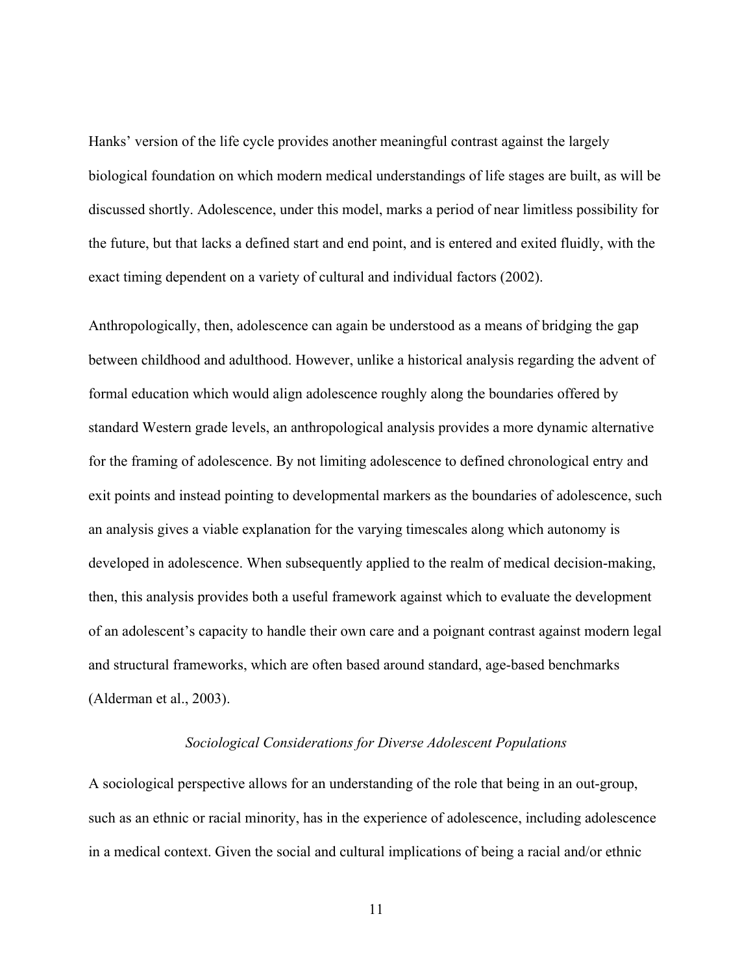Hanks' version of the life cycle provides another meaningful contrast against the largely biological foundation on which modern medical understandings of life stages are built, as will be discussed shortly. Adolescence, under this model, marks a period of near limitless possibility for the future, but that lacks a defined start and end point, and is entered and exited fluidly, with the exact timing dependent on a variety of cultural and individual factors (2002).

Anthropologically, then, adolescence can again be understood as a means of bridging the gap between childhood and adulthood. However, unlike a historical analysis regarding the advent of formal education which would align adolescence roughly along the boundaries offered by standard Western grade levels, an anthropological analysis provides a more dynamic alternative for the framing of adolescence. By not limiting adolescence to defined chronological entry and exit points and instead pointing to developmental markers as the boundaries of adolescence, such an analysis gives a viable explanation for the varying timescales along which autonomy is developed in adolescence. When subsequently applied to the realm of medical decision-making, then, this analysis provides both a useful framework against which to evaluate the development of an adolescent's capacity to handle their own care and a poignant contrast against modern legal and structural frameworks, which are often based around standard, age-based benchmarks (Alderman et al., 2003).

#### *Sociological Considerations for Diverse Adolescent Populations*

<span id="page-16-0"></span>A sociological perspective allows for an understanding of the role that being in an out-group, such as an ethnic or racial minority, has in the experience of adolescence, including adolescence in a medical context. Given the social and cultural implications of being a racial and/or ethnic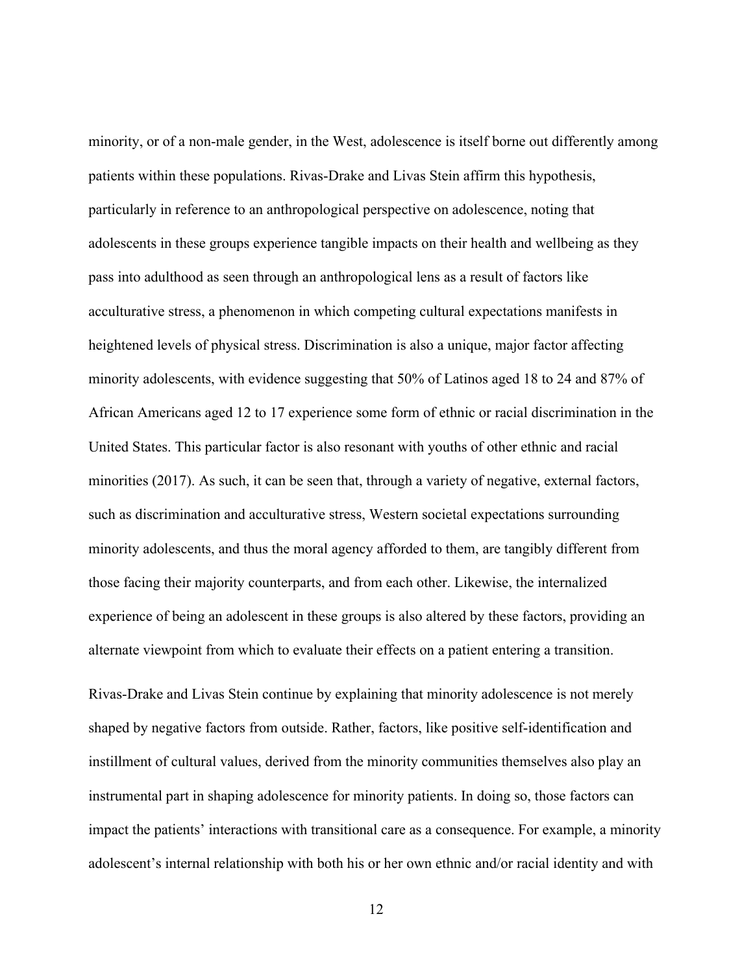minority, or of a non-male gender, in the West, adolescence is itself borne out differently among patients within these populations. Rivas-Drake and Livas Stein affirm this hypothesis, particularly in reference to an anthropological perspective on adolescence, noting that adolescents in these groups experience tangible impacts on their health and wellbeing as they pass into adulthood as seen through an anthropological lens as a result of factors like acculturative stress, a phenomenon in which competing cultural expectations manifests in heightened levels of physical stress. Discrimination is also a unique, major factor affecting minority adolescents, with evidence suggesting that 50% of Latinos aged 18 to 24 and 87% of African Americans aged 12 to 17 experience some form of ethnic or racial discrimination in the United States. This particular factor is also resonant with youths of other ethnic and racial minorities (2017). As such, it can be seen that, through a variety of negative, external factors, such as discrimination and acculturative stress, Western societal expectations surrounding minority adolescents, and thus the moral agency afforded to them, are tangibly different from those facing their majority counterparts, and from each other. Likewise, the internalized experience of being an adolescent in these groups is also altered by these factors, providing an alternate viewpoint from which to evaluate their effects on a patient entering a transition.

Rivas-Drake and Livas Stein continue by explaining that minority adolescence is not merely shaped by negative factors from outside. Rather, factors, like positive self-identification and instillment of cultural values, derived from the minority communities themselves also play an instrumental part in shaping adolescence for minority patients. In doing so, those factors can impact the patients' interactions with transitional care as a consequence. For example, a minority adolescent's internal relationship with both his or her own ethnic and/or racial identity and with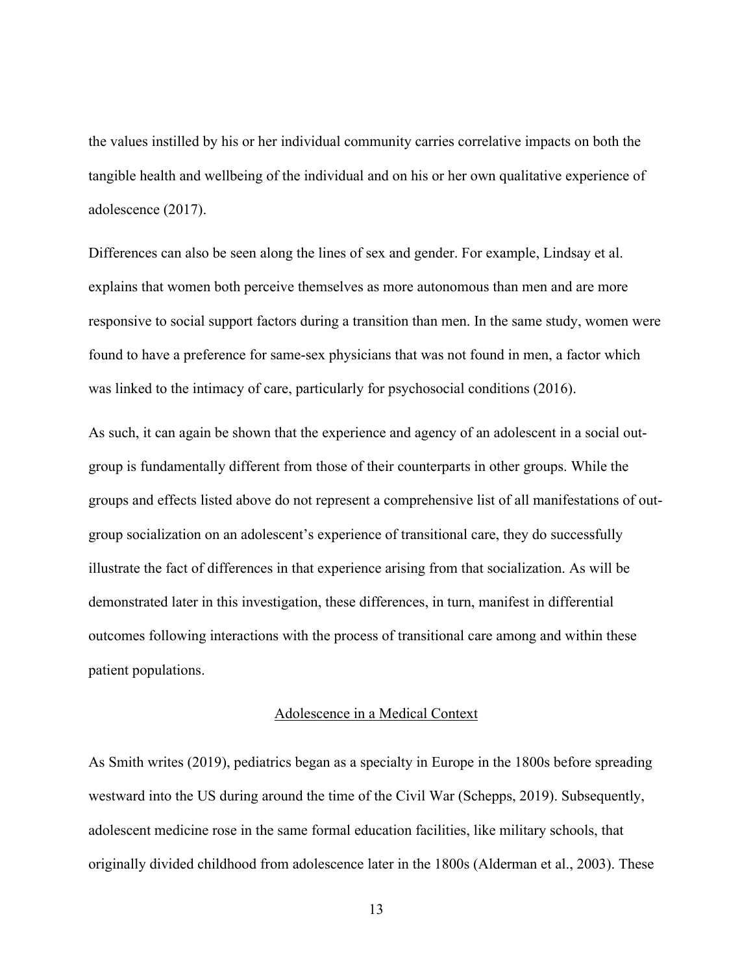the values instilled by his or her individual community carries correlative impacts on both the tangible health and wellbeing of the individual and on his or her own qualitative experience of adolescence (2017).

Differences can also be seen along the lines of sex and gender. For example, Lindsay et al. explains that women both perceive themselves as more autonomous than men and are more responsive to social support factors during a transition than men. In the same study, women were found to have a preference for same-sex physicians that was not found in men, a factor which was linked to the intimacy of care, particularly for psychosocial conditions (2016).

As such, it can again be shown that the experience and agency of an adolescent in a social outgroup is fundamentally different from those of their counterparts in other groups. While the groups and effects listed above do not represent a comprehensive list of all manifestations of outgroup socialization on an adolescent's experience of transitional care, they do successfully illustrate the fact of differences in that experience arising from that socialization. As will be demonstrated later in this investigation, these differences, in turn, manifest in differential outcomes following interactions with the process of transitional care among and within these patient populations.

#### Adolescence in a Medical Context

<span id="page-18-0"></span>As Smith writes (2019), pediatrics began as a specialty in Europe in the 1800s before spreading westward into the US during around the time of the Civil War (Schepps, 2019). Subsequently, adolescent medicine rose in the same formal education facilities, like military schools, that originally divided childhood from adolescence later in the 1800s (Alderman et al., 2003). These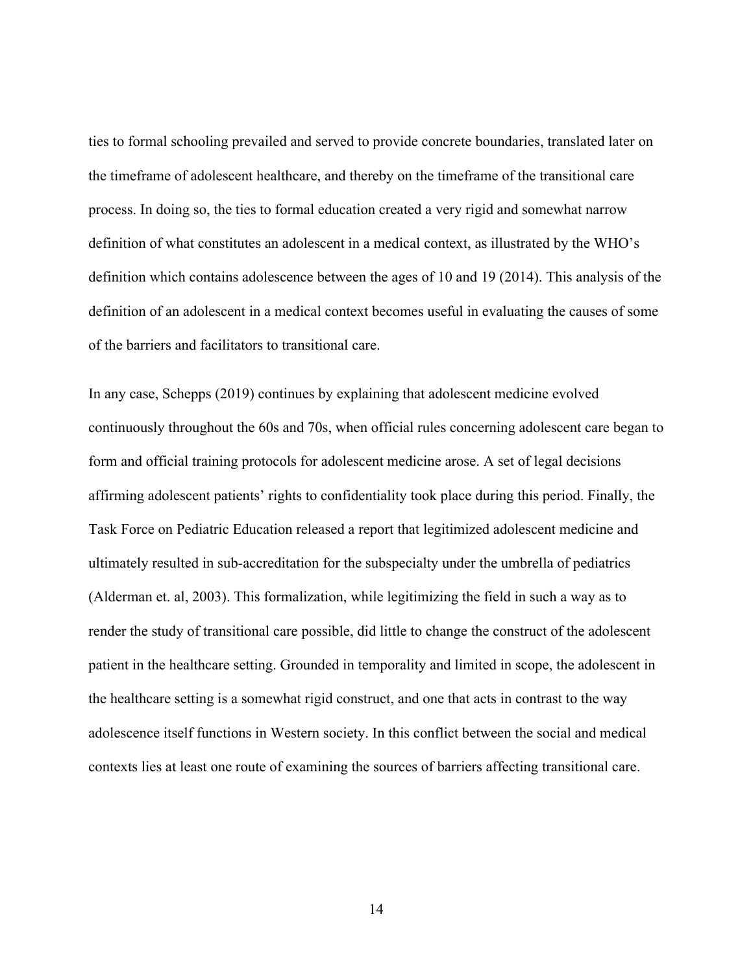ties to formal schooling prevailed and served to provide concrete boundaries, translated later on the timeframe of adolescent healthcare, and thereby on the timeframe of the transitional care process. In doing so, the ties to formal education created a very rigid and somewhat narrow definition of what constitutes an adolescent in a medical context, as illustrated by the WHO's definition which contains adolescence between the ages of 10 and 19 (2014). This analysis of the definition of an adolescent in a medical context becomes useful in evaluating the causes of some of the barriers and facilitators to transitional care.

In any case, Schepps (2019) continues by explaining that adolescent medicine evolved continuously throughout the 60s and 70s, when official rules concerning adolescent care began to form and official training protocols for adolescent medicine arose. A set of legal decisions affirming adolescent patients' rights to confidentiality took place during this period. Finally, the Task Force on Pediatric Education released a report that legitimized adolescent medicine and ultimately resulted in sub-accreditation for the subspecialty under the umbrella of pediatrics (Alderman et. al, 2003). This formalization, while legitimizing the field in such a way as to render the study of transitional care possible, did little to change the construct of the adolescent patient in the healthcare setting. Grounded in temporality and limited in scope, the adolescent in the healthcare setting is a somewhat rigid construct, and one that acts in contrast to the way adolescence itself functions in Western society. In this conflict between the social and medical contexts lies at least one route of examining the sources of barriers affecting transitional care.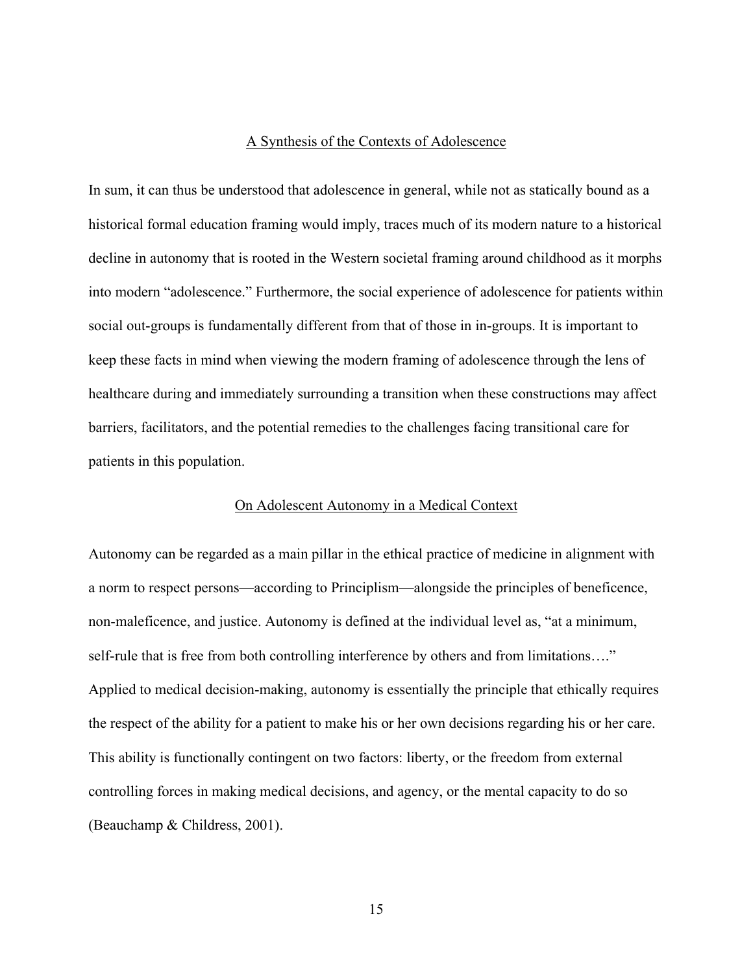#### A Synthesis of the Contexts of Adolescence

<span id="page-20-0"></span>In sum, it can thus be understood that adolescence in general, while not as statically bound as a historical formal education framing would imply, traces much of its modern nature to a historical decline in autonomy that is rooted in the Western societal framing around childhood as it morphs into modern "adolescence." Furthermore, the social experience of adolescence for patients within social out-groups is fundamentally different from that of those in in-groups. It is important to keep these facts in mind when viewing the modern framing of adolescence through the lens of healthcare during and immediately surrounding a transition when these constructions may affect barriers, facilitators, and the potential remedies to the challenges facing transitional care for patients in this population.

#### On Adolescent Autonomy in a Medical Context

<span id="page-20-1"></span>Autonomy can be regarded as a main pillar in the ethical practice of medicine in alignment with a norm to respect persons—according to Principlism—alongside the principles of beneficence, non-maleficence, and justice. Autonomy is defined at the individual level as, "at a minimum, self-rule that is free from both controlling interference by others and from limitations…." Applied to medical decision-making, autonomy is essentially the principle that ethically requires the respect of the ability for a patient to make his or her own decisions regarding his or her care. This ability is functionally contingent on two factors: liberty, or the freedom from external controlling forces in making medical decisions, and agency, or the mental capacity to do so (Beauchamp & Childress, 2001).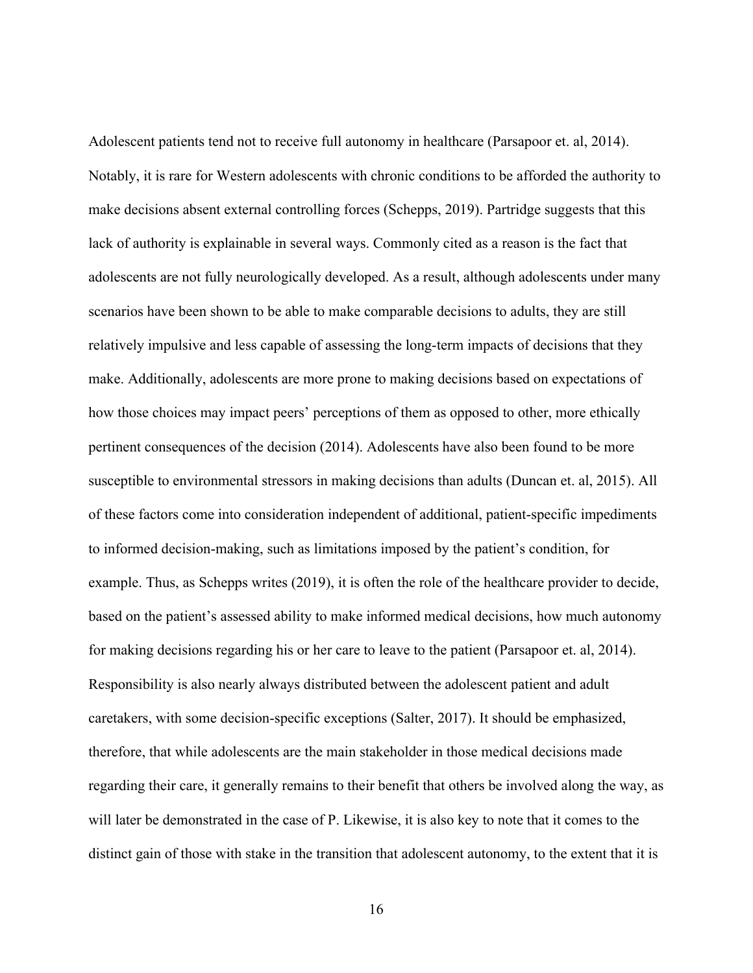Adolescent patients tend not to receive full autonomy in healthcare (Parsapoor et. al, 2014). Notably, it is rare for Western adolescents with chronic conditions to be afforded the authority to make decisions absent external controlling forces (Schepps, 2019). Partridge suggests that this lack of authority is explainable in several ways. Commonly cited as a reason is the fact that adolescents are not fully neurologically developed. As a result, although adolescents under many scenarios have been shown to be able to make comparable decisions to adults, they are still relatively impulsive and less capable of assessing the long-term impacts of decisions that they make. Additionally, adolescents are more prone to making decisions based on expectations of how those choices may impact peers' perceptions of them as opposed to other, more ethically pertinent consequences of the decision (2014). Adolescents have also been found to be more susceptible to environmental stressors in making decisions than adults (Duncan et. al, 2015). All of these factors come into consideration independent of additional, patient-specific impediments to informed decision-making, such as limitations imposed by the patient's condition, for example. Thus, as Schepps writes (2019), it is often the role of the healthcare provider to decide, based on the patient's assessed ability to make informed medical decisions, how much autonomy for making decisions regarding his or her care to leave to the patient (Parsapoor et. al, 2014). Responsibility is also nearly always distributed between the adolescent patient and adult caretakers, with some decision-specific exceptions (Salter, 2017). It should be emphasized, therefore, that while adolescents are the main stakeholder in those medical decisions made regarding their care, it generally remains to their benefit that others be involved along the way, as will later be demonstrated in the case of P. Likewise, it is also key to note that it comes to the distinct gain of those with stake in the transition that adolescent autonomy, to the extent that it is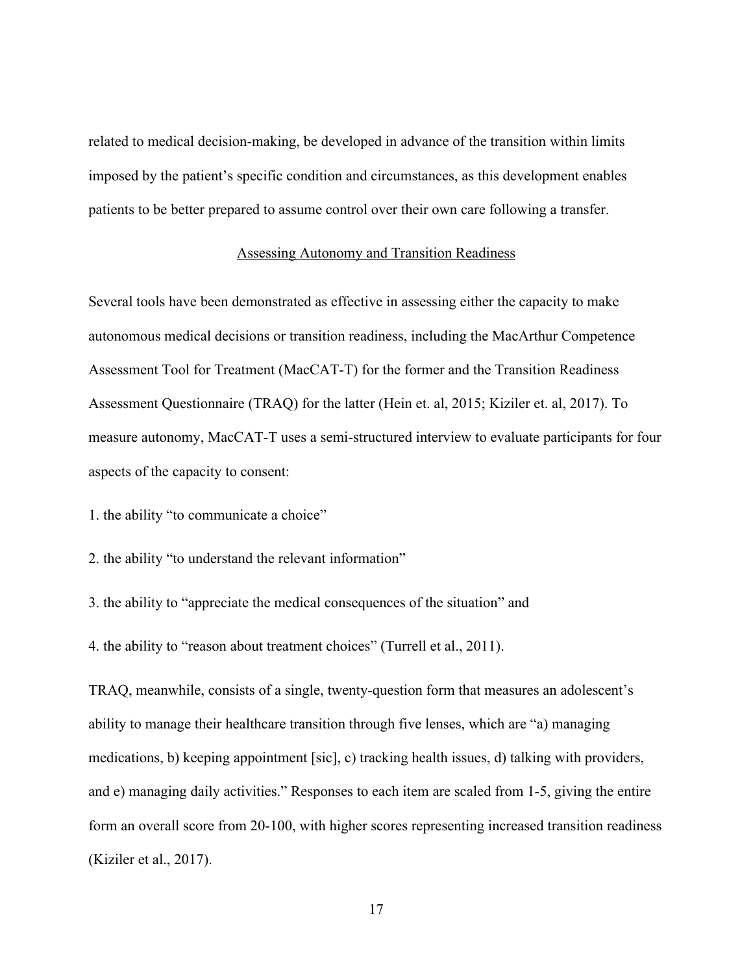related to medical decision-making, be developed in advance of the transition within limits imposed by the patient's specific condition and circumstances, as this development enables patients to be better prepared to assume control over their own care following a transfer.

### Assessing Autonomy and Transition Readiness

<span id="page-22-0"></span>Several tools have been demonstrated as effective in assessing either the capacity to make autonomous medical decisions or transition readiness, including the MacArthur Competence Assessment Tool for Treatment (MacCAT-T) for the former and the Transition Readiness Assessment Questionnaire (TRAQ) for the latter (Hein et. al, 2015; Kiziler et. al, 2017). To measure autonomy, MacCAT-T uses a semi-structured interview to evaluate participants for four aspects of the capacity to consent:

- 1. the ability "to communicate a choice"
- 2. the ability "to understand the relevant information"
- 3. the ability to "appreciate the medical consequences of the situation" and
- 4. the ability to "reason about treatment choices" (Turrell et al., 2011).

TRAQ, meanwhile, consists of a single, twenty-question form that measures an adolescent's ability to manage their healthcare transition through five lenses, which are "a) managing medications, b) keeping appointment [sic], c) tracking health issues, d) talking with providers, and e) managing daily activities." Responses to each item are scaled from 1-5, giving the entire form an overall score from 20-100, with higher scores representing increased transition readiness (Kiziler et al., 2017).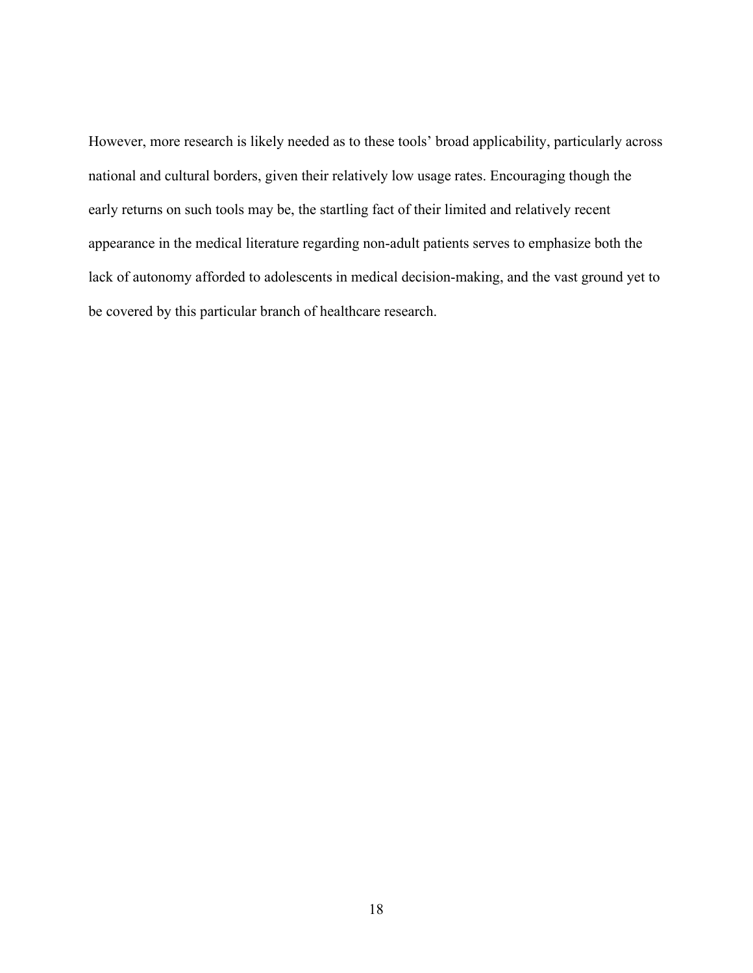However, more research is likely needed as to these tools' broad applicability, particularly across national and cultural borders, given their relatively low usage rates. Encouraging though the early returns on such tools may be, the startling fact of their limited and relatively recent appearance in the medical literature regarding non-adult patients serves to emphasize both the lack of autonomy afforded to adolescents in medical decision-making, and the vast ground yet to be covered by this particular branch of healthcare research.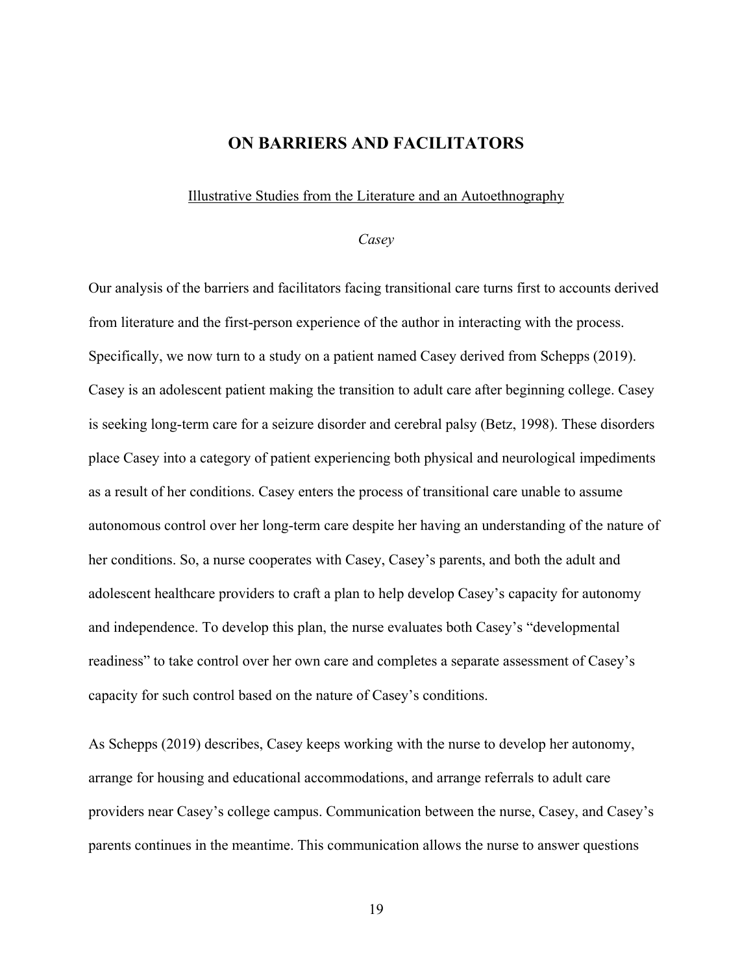## **ON BARRIERS AND FACILITATORS**

#### <span id="page-24-1"></span><span id="page-24-0"></span>Illustrative Studies from the Literature and an Autoethnography

#### *Casey*

<span id="page-24-2"></span>Our analysis of the barriers and facilitators facing transitional care turns first to accounts derived from literature and the first-person experience of the author in interacting with the process. Specifically, we now turn to a study on a patient named Casey derived from Schepps (2019). Casey is an adolescent patient making the transition to adult care after beginning college. Casey is seeking long-term care for a seizure disorder and cerebral palsy (Betz, 1998). These disorders place Casey into a category of patient experiencing both physical and neurological impediments as a result of her conditions. Casey enters the process of transitional care unable to assume autonomous control over her long-term care despite her having an understanding of the nature of her conditions. So, a nurse cooperates with Casey, Casey's parents, and both the adult and adolescent healthcare providers to craft a plan to help develop Casey's capacity for autonomy and independence. To develop this plan, the nurse evaluates both Casey's "developmental readiness" to take control over her own care and completes a separate assessment of Casey's capacity for such control based on the nature of Casey's conditions.

As Schepps (2019) describes, Casey keeps working with the nurse to develop her autonomy, arrange for housing and educational accommodations, and arrange referrals to adult care providers near Casey's college campus. Communication between the nurse, Casey, and Casey's parents continues in the meantime. This communication allows the nurse to answer questions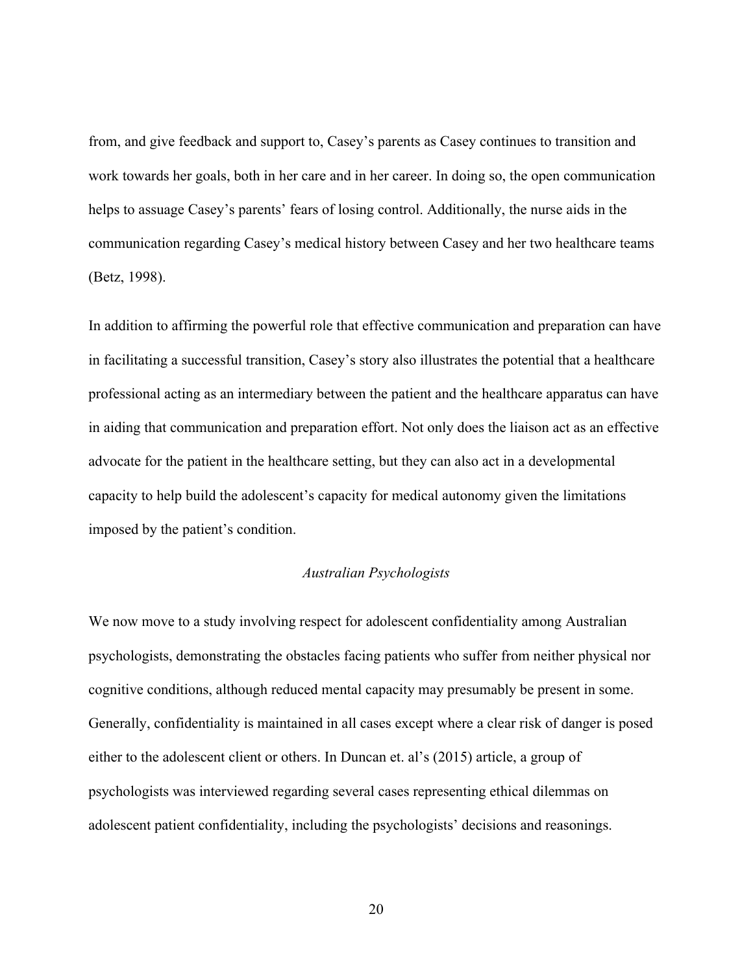from, and give feedback and support to, Casey's parents as Casey continues to transition and work towards her goals, both in her care and in her career. In doing so, the open communication helps to assuage Casey's parents' fears of losing control. Additionally, the nurse aids in the communication regarding Casey's medical history between Casey and her two healthcare teams (Betz, 1998).

In addition to affirming the powerful role that effective communication and preparation can have in facilitating a successful transition, Casey's story also illustrates the potential that a healthcare professional acting as an intermediary between the patient and the healthcare apparatus can have in aiding that communication and preparation effort. Not only does the liaison act as an effective advocate for the patient in the healthcare setting, but they can also act in a developmental capacity to help build the adolescent's capacity for medical autonomy given the limitations imposed by the patient's condition.

#### *Australian Psychologists*

<span id="page-25-0"></span>We now move to a study involving respect for adolescent confidentiality among Australian psychologists, demonstrating the obstacles facing patients who suffer from neither physical nor cognitive conditions, although reduced mental capacity may presumably be present in some. Generally, confidentiality is maintained in all cases except where a clear risk of danger is posed either to the adolescent client or others. In Duncan et. al's (2015) article, a group of psychologists was interviewed regarding several cases representing ethical dilemmas on adolescent patient confidentiality, including the psychologists' decisions and reasonings.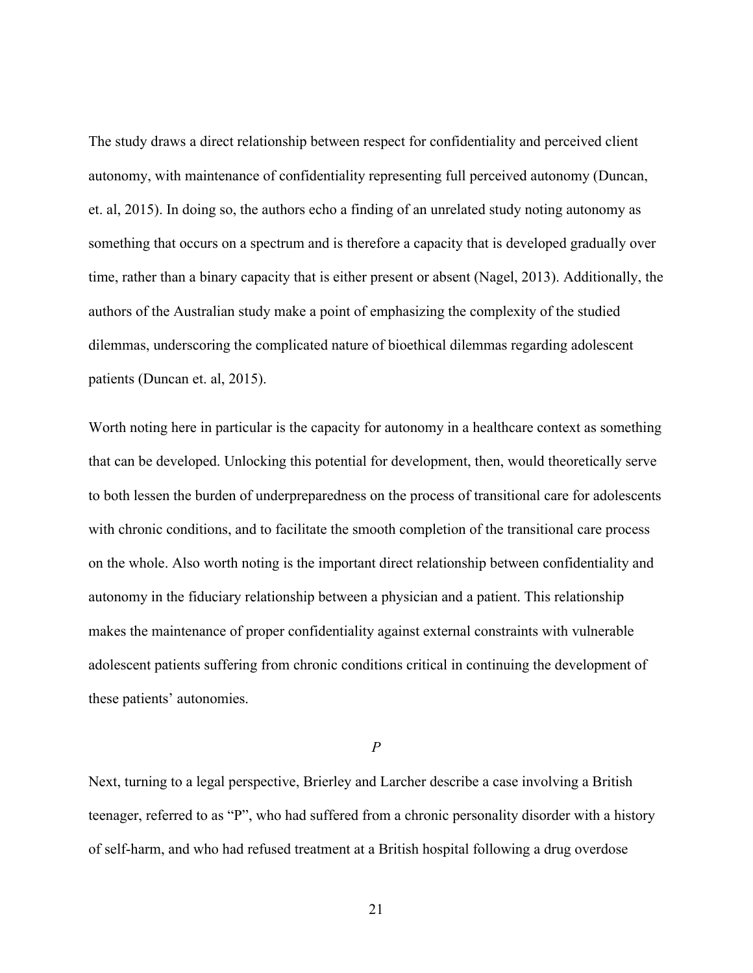The study draws a direct relationship between respect for confidentiality and perceived client autonomy, with maintenance of confidentiality representing full perceived autonomy (Duncan, et. al, 2015). In doing so, the authors echo a finding of an unrelated study noting autonomy as something that occurs on a spectrum and is therefore a capacity that is developed gradually over time, rather than a binary capacity that is either present or absent (Nagel, 2013). Additionally, the authors of the Australian study make a point of emphasizing the complexity of the studied dilemmas, underscoring the complicated nature of bioethical dilemmas regarding adolescent patients (Duncan et. al, 2015).

Worth noting here in particular is the capacity for autonomy in a healthcare context as something that can be developed. Unlocking this potential for development, then, would theoretically serve to both lessen the burden of underpreparedness on the process of transitional care for adolescents with chronic conditions, and to facilitate the smooth completion of the transitional care process on the whole. Also worth noting is the important direct relationship between confidentiality and autonomy in the fiduciary relationship between a physician and a patient. This relationship makes the maintenance of proper confidentiality against external constraints with vulnerable adolescent patients suffering from chronic conditions critical in continuing the development of these patients' autonomies.

#### *P*

<span id="page-26-0"></span>Next, turning to a legal perspective, Brierley and Larcher describe a case involving a British teenager, referred to as "P", who had suffered from a chronic personality disorder with a history of self-harm, and who had refused treatment at a British hospital following a drug overdose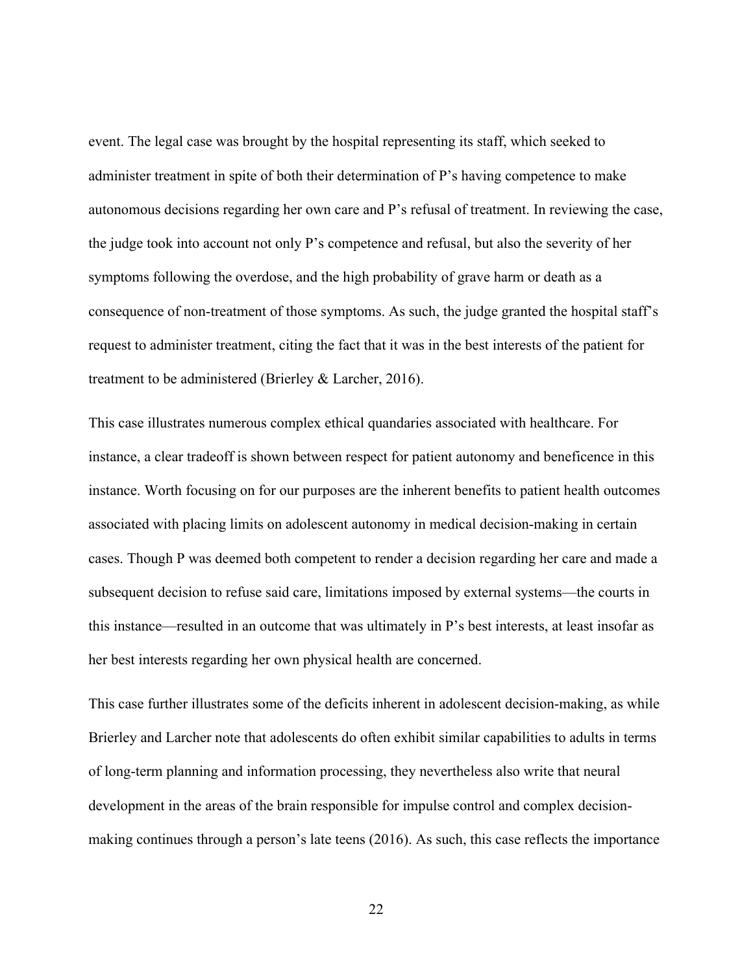event. The legal case was brought by the hospital representing its staff, which seeked to administer treatment in spite of both their determination of P's having competence to make autonomous decisions regarding her own care and P's refusal of treatment. In reviewing the case, the judge took into account not only P's competence and refusal, but also the severity of her symptoms following the overdose, and the high probability of grave harm or death as a consequence of non-treatment of those symptoms. As such, the judge granted the hospital staff's request to administer treatment, citing the fact that it was in the best interests of the patient for treatment to be administered (Brierley & Larcher, 2016).

This case illustrates numerous complex ethical quandaries associated with healthcare. For instance, a clear tradeoff is shown between respect for patient autonomy and beneficence in this instance. Worth focusing on for our purposes are the inherent benefits to patient health outcomes associated with placing limits on adolescent autonomy in medical decision-making in certain cases. Though P was deemed both competent to render a decision regarding her care and made a subsequent decision to refuse said care, limitations imposed by external systems—the courts in this instance—resulted in an outcome that was ultimately in P's best interests, at least insofar as her best interests regarding her own physical health are concerned.

This case further illustrates some of the deficits inherent in adolescent decision-making, as while Brierley and Larcher note that adolescents do often exhibit similar capabilities to adults in terms of long-term planning and information processing, they nevertheless also write that neural development in the areas of the brain responsible for impulse control and complex decisionmaking continues through a person's late teens (2016). As such, this case reflects the importance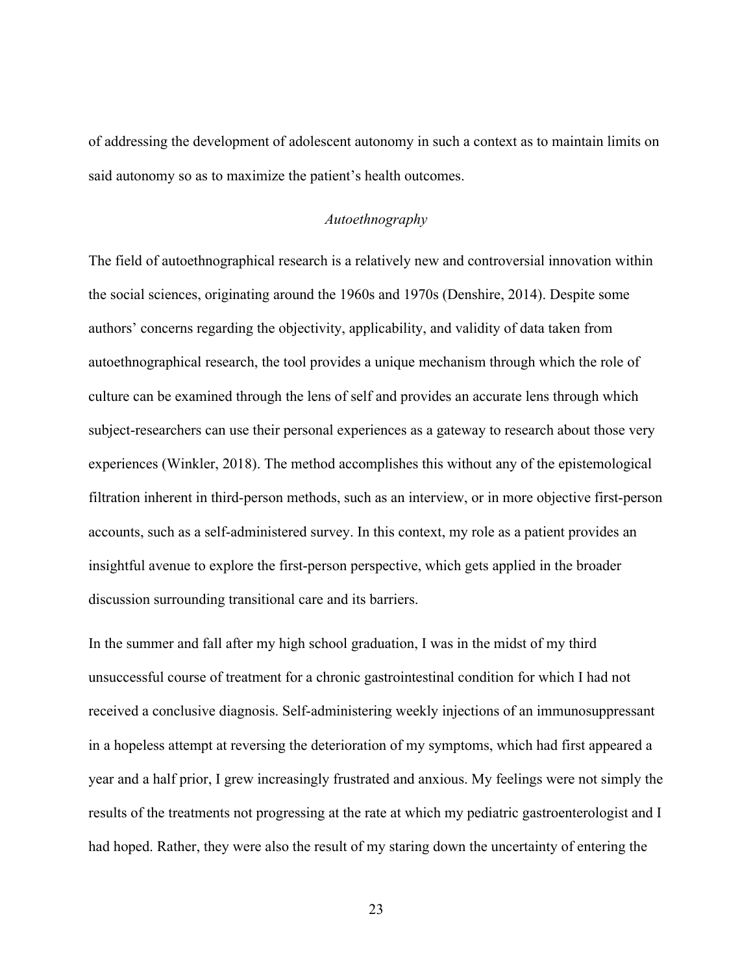of addressing the development of adolescent autonomy in such a context as to maintain limits on said autonomy so as to maximize the patient's health outcomes.

### *Autoethnography*

<span id="page-28-0"></span>The field of autoethnographical research is a relatively new and controversial innovation within the social sciences, originating around the 1960s and 1970s (Denshire, 2014). Despite some authors' concerns regarding the objectivity, applicability, and validity of data taken from autoethnographical research, the tool provides a unique mechanism through which the role of culture can be examined through the lens of self and provides an accurate lens through which subject-researchers can use their personal experiences as a gateway to research about those very experiences (Winkler, 2018). The method accomplishes this without any of the epistemological filtration inherent in third-person methods, such as an interview, or in more objective first-person accounts, such as a self-administered survey. In this context, my role as a patient provides an insightful avenue to explore the first-person perspective, which gets applied in the broader discussion surrounding transitional care and its barriers.

In the summer and fall after my high school graduation, I was in the midst of my third unsuccessful course of treatment for a chronic gastrointestinal condition for which I had not received a conclusive diagnosis. Self-administering weekly injections of an immunosuppressant in a hopeless attempt at reversing the deterioration of my symptoms, which had first appeared a year and a half prior, I grew increasingly frustrated and anxious. My feelings were not simply the results of the treatments not progressing at the rate at which my pediatric gastroenterologist and I had hoped. Rather, they were also the result of my staring down the uncertainty of entering the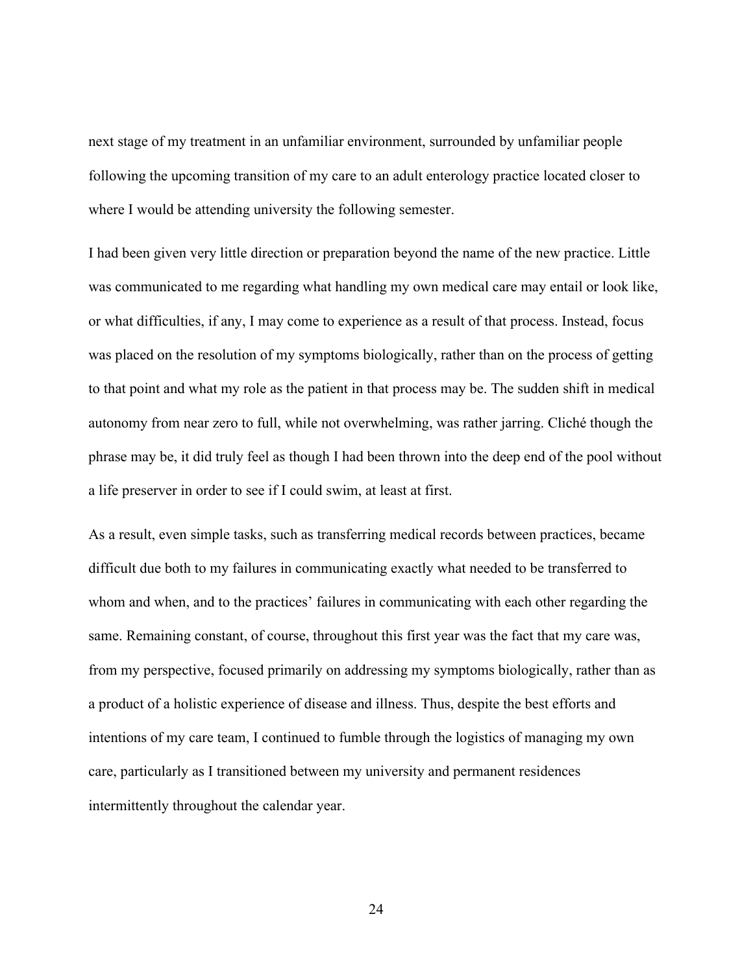next stage of my treatment in an unfamiliar environment, surrounded by unfamiliar people following the upcoming transition of my care to an adult enterology practice located closer to where I would be attending university the following semester.

I had been given very little direction or preparation beyond the name of the new practice. Little was communicated to me regarding what handling my own medical care may entail or look like, or what difficulties, if any, I may come to experience as a result of that process. Instead, focus was placed on the resolution of my symptoms biologically, rather than on the process of getting to that point and what my role as the patient in that process may be. The sudden shift in medical autonomy from near zero to full, while not overwhelming, was rather jarring. Cliché though the phrase may be, it did truly feel as though I had been thrown into the deep end of the pool without a life preserver in order to see if I could swim, at least at first.

As a result, even simple tasks, such as transferring medical records between practices, became difficult due both to my failures in communicating exactly what needed to be transferred to whom and when, and to the practices' failures in communicating with each other regarding the same. Remaining constant, of course, throughout this first year was the fact that my care was, from my perspective, focused primarily on addressing my symptoms biologically, rather than as a product of a holistic experience of disease and illness. Thus, despite the best efforts and intentions of my care team, I continued to fumble through the logistics of managing my own care, particularly as I transitioned between my university and permanent residences intermittently throughout the calendar year.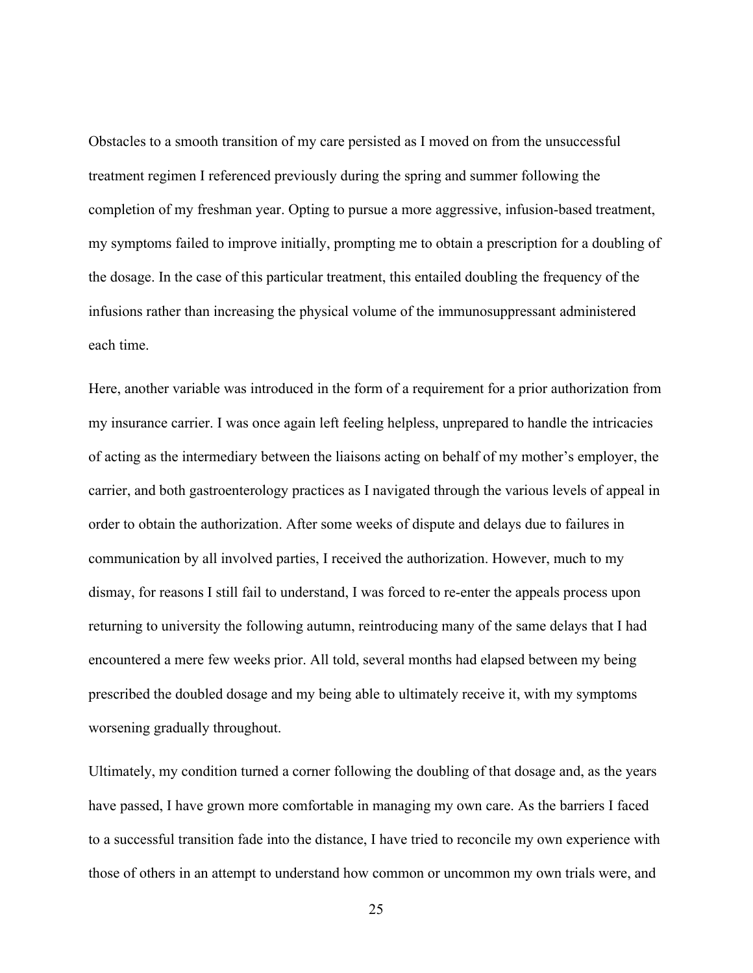Obstacles to a smooth transition of my care persisted as I moved on from the unsuccessful treatment regimen I referenced previously during the spring and summer following the completion of my freshman year. Opting to pursue a more aggressive, infusion-based treatment, my symptoms failed to improve initially, prompting me to obtain a prescription for a doubling of the dosage. In the case of this particular treatment, this entailed doubling the frequency of the infusions rather than increasing the physical volume of the immunosuppressant administered each time.

Here, another variable was introduced in the form of a requirement for a prior authorization from my insurance carrier. I was once again left feeling helpless, unprepared to handle the intricacies of acting as the intermediary between the liaisons acting on behalf of my mother's employer, the carrier, and both gastroenterology practices as I navigated through the various levels of appeal in order to obtain the authorization. After some weeks of dispute and delays due to failures in communication by all involved parties, I received the authorization. However, much to my dismay, for reasons I still fail to understand, I was forced to re-enter the appeals process upon returning to university the following autumn, reintroducing many of the same delays that I had encountered a mere few weeks prior. All told, several months had elapsed between my being prescribed the doubled dosage and my being able to ultimately receive it, with my symptoms worsening gradually throughout.

Ultimately, my condition turned a corner following the doubling of that dosage and, as the years have passed, I have grown more comfortable in managing my own care. As the barriers I faced to a successful transition fade into the distance, I have tried to reconcile my own experience with those of others in an attempt to understand how common or uncommon my own trials were, and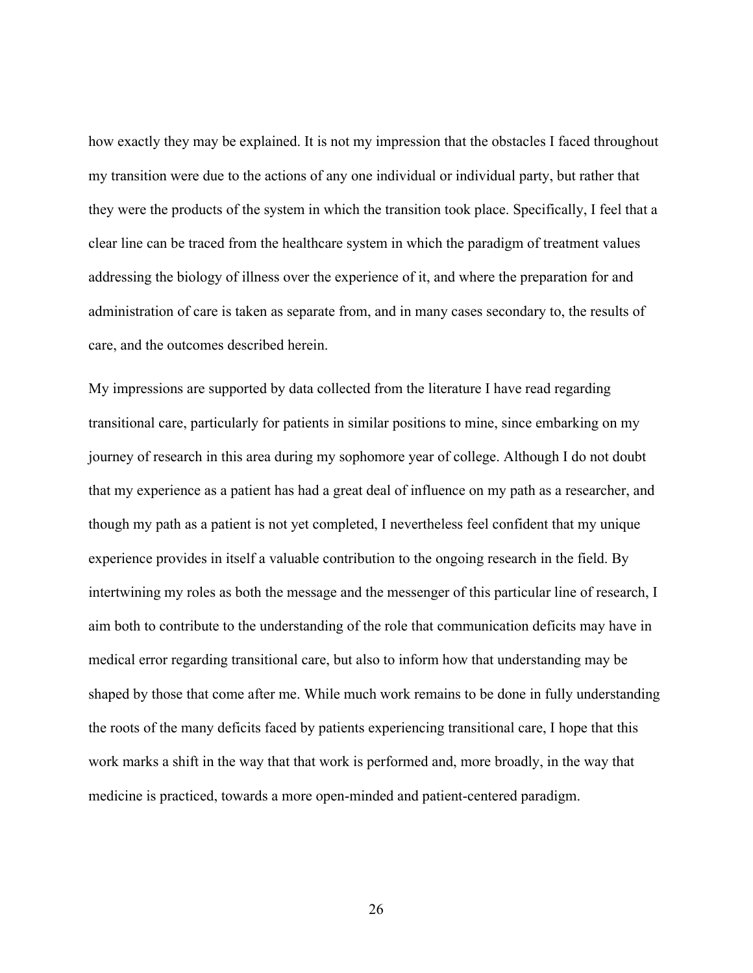how exactly they may be explained. It is not my impression that the obstacles I faced throughout my transition were due to the actions of any one individual or individual party, but rather that they were the products of the system in which the transition took place. Specifically, I feel that a clear line can be traced from the healthcare system in which the paradigm of treatment values addressing the biology of illness over the experience of it, and where the preparation for and administration of care is taken as separate from, and in many cases secondary to, the results of care, and the outcomes described herein.

My impressions are supported by data collected from the literature I have read regarding transitional care, particularly for patients in similar positions to mine, since embarking on my journey of research in this area during my sophomore year of college. Although I do not doubt that my experience as a patient has had a great deal of influence on my path as a researcher, and though my path as a patient is not yet completed, I nevertheless feel confident that my unique experience provides in itself a valuable contribution to the ongoing research in the field. By intertwining my roles as both the message and the messenger of this particular line of research, I aim both to contribute to the understanding of the role that communication deficits may have in medical error regarding transitional care, but also to inform how that understanding may be shaped by those that come after me. While much work remains to be done in fully understanding the roots of the many deficits faced by patients experiencing transitional care, I hope that this work marks a shift in the way that that work is performed and, more broadly, in the way that medicine is practiced, towards a more open-minded and patient-centered paradigm.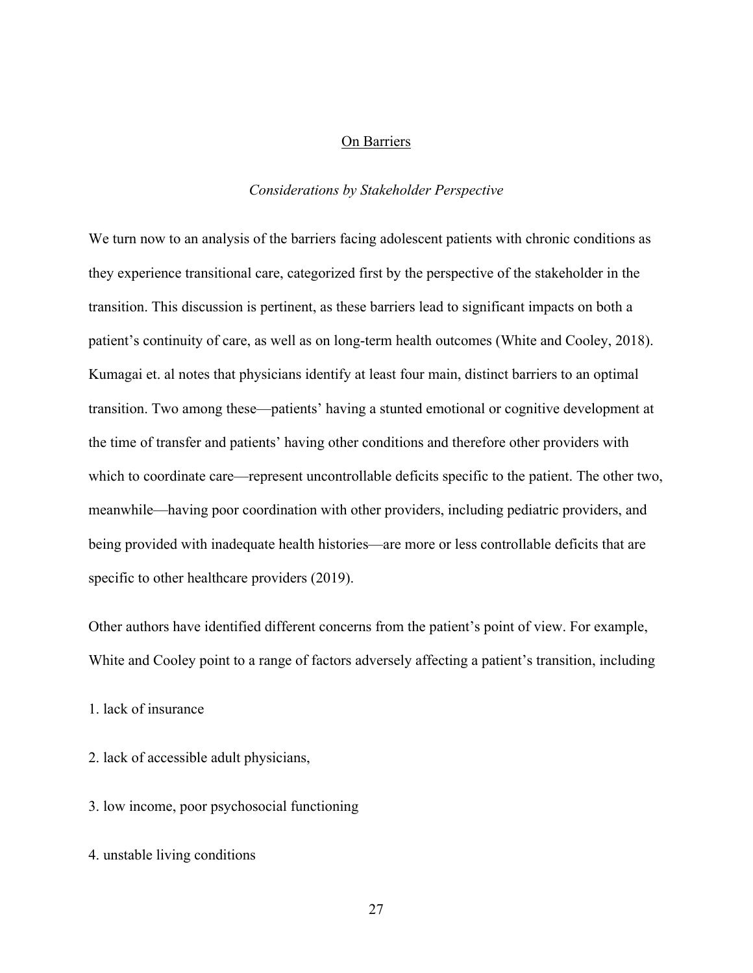#### On Barriers

#### *Considerations by Stakeholder Perspective*

<span id="page-32-1"></span><span id="page-32-0"></span>We turn now to an analysis of the barriers facing adolescent patients with chronic conditions as they experience transitional care, categorized first by the perspective of the stakeholder in the transition. This discussion is pertinent, as these barriers lead to significant impacts on both a patient's continuity of care, as well as on long-term health outcomes (White and Cooley, 2018). Kumagai et. al notes that physicians identify at least four main, distinct barriers to an optimal transition. Two among these—patients' having a stunted emotional or cognitive development at the time of transfer and patients' having other conditions and therefore other providers with which to coordinate care—represent uncontrollable deficits specific to the patient. The other two, meanwhile—having poor coordination with other providers, including pediatric providers, and being provided with inadequate health histories—are more or less controllable deficits that are specific to other healthcare providers (2019).

Other authors have identified different concerns from the patient's point of view. For example, White and Cooley point to a range of factors adversely affecting a patient's transition, including

1. lack of insurance

2. lack of accessible adult physicians,

3. low income, poor psychosocial functioning

4. unstable living conditions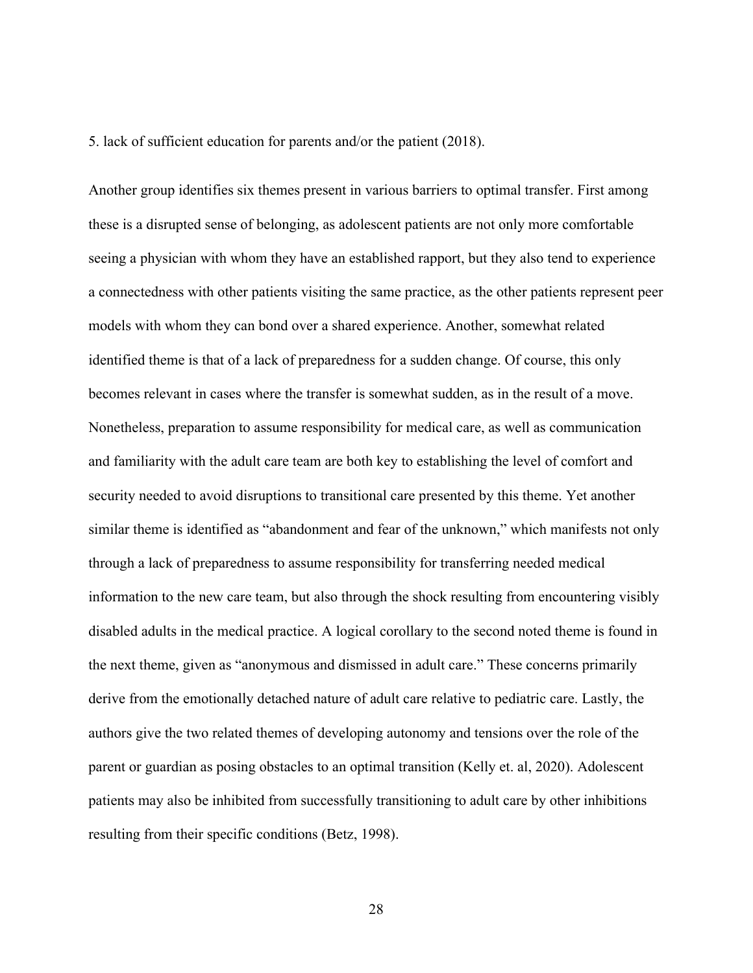5. lack of sufficient education for parents and/or the patient (2018).

Another group identifies six themes present in various barriers to optimal transfer. First among these is a disrupted sense of belonging, as adolescent patients are not only more comfortable seeing a physician with whom they have an established rapport, but they also tend to experience a connectedness with other patients visiting the same practice, as the other patients represent peer models with whom they can bond over a shared experience. Another, somewhat related identified theme is that of a lack of preparedness for a sudden change. Of course, this only becomes relevant in cases where the transfer is somewhat sudden, as in the result of a move. Nonetheless, preparation to assume responsibility for medical care, as well as communication and familiarity with the adult care team are both key to establishing the level of comfort and security needed to avoid disruptions to transitional care presented by this theme. Yet another similar theme is identified as "abandonment and fear of the unknown," which manifests not only through a lack of preparedness to assume responsibility for transferring needed medical information to the new care team, but also through the shock resulting from encountering visibly disabled adults in the medical practice. A logical corollary to the second noted theme is found in the next theme, given as "anonymous and dismissed in adult care." These concerns primarily derive from the emotionally detached nature of adult care relative to pediatric care. Lastly, the authors give the two related themes of developing autonomy and tensions over the role of the parent or guardian as posing obstacles to an optimal transition (Kelly et. al, 2020). Adolescent patients may also be inhibited from successfully transitioning to adult care by other inhibitions resulting from their specific conditions (Betz, 1998).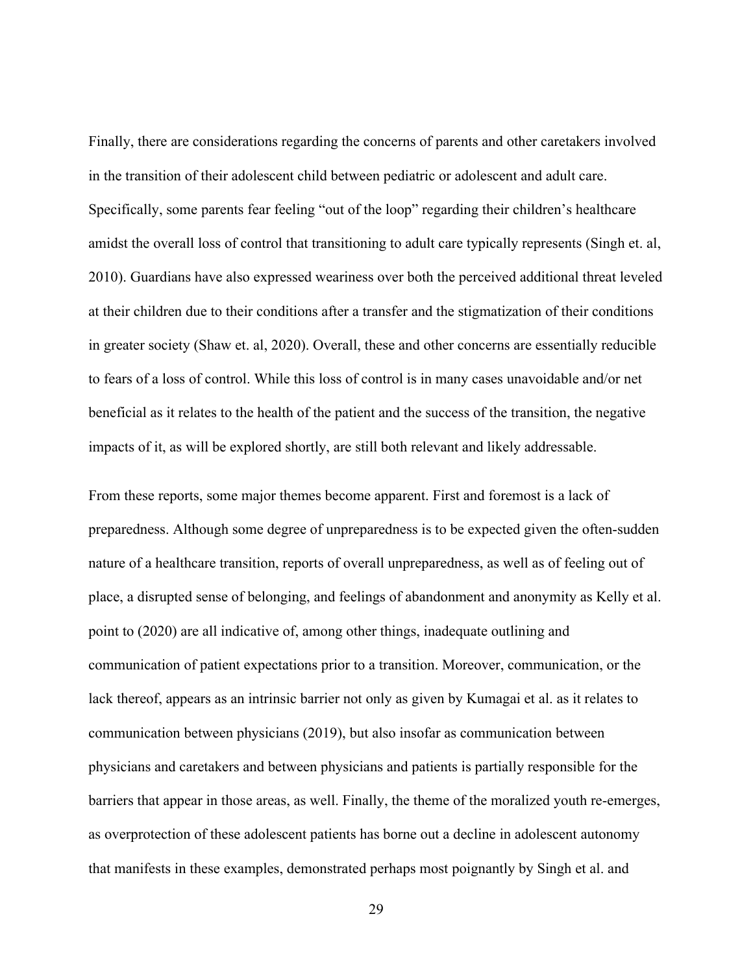Finally, there are considerations regarding the concerns of parents and other caretakers involved in the transition of their adolescent child between pediatric or adolescent and adult care. Specifically, some parents fear feeling "out of the loop" regarding their children's healthcare amidst the overall loss of control that transitioning to adult care typically represents (Singh et. al, 2010). Guardians have also expressed weariness over both the perceived additional threat leveled at their children due to their conditions after a transfer and the stigmatization of their conditions in greater society (Shaw et. al, 2020). Overall, these and other concerns are essentially reducible to fears of a loss of control. While this loss of control is in many cases unavoidable and/or net beneficial as it relates to the health of the patient and the success of the transition, the negative impacts of it, as will be explored shortly, are still both relevant and likely addressable.

From these reports, some major themes become apparent. First and foremost is a lack of preparedness. Although some degree of unpreparedness is to be expected given the often-sudden nature of a healthcare transition, reports of overall unpreparedness, as well as of feeling out of place, a disrupted sense of belonging, and feelings of abandonment and anonymity as Kelly et al. point to (2020) are all indicative of, among other things, inadequate outlining and communication of patient expectations prior to a transition. Moreover, communication, or the lack thereof, appears as an intrinsic barrier not only as given by Kumagai et al. as it relates to communication between physicians (2019), but also insofar as communication between physicians and caretakers and between physicians and patients is partially responsible for the barriers that appear in those areas, as well. Finally, the theme of the moralized youth re-emerges, as overprotection of these adolescent patients has borne out a decline in adolescent autonomy that manifests in these examples, demonstrated perhaps most poignantly by Singh et al. and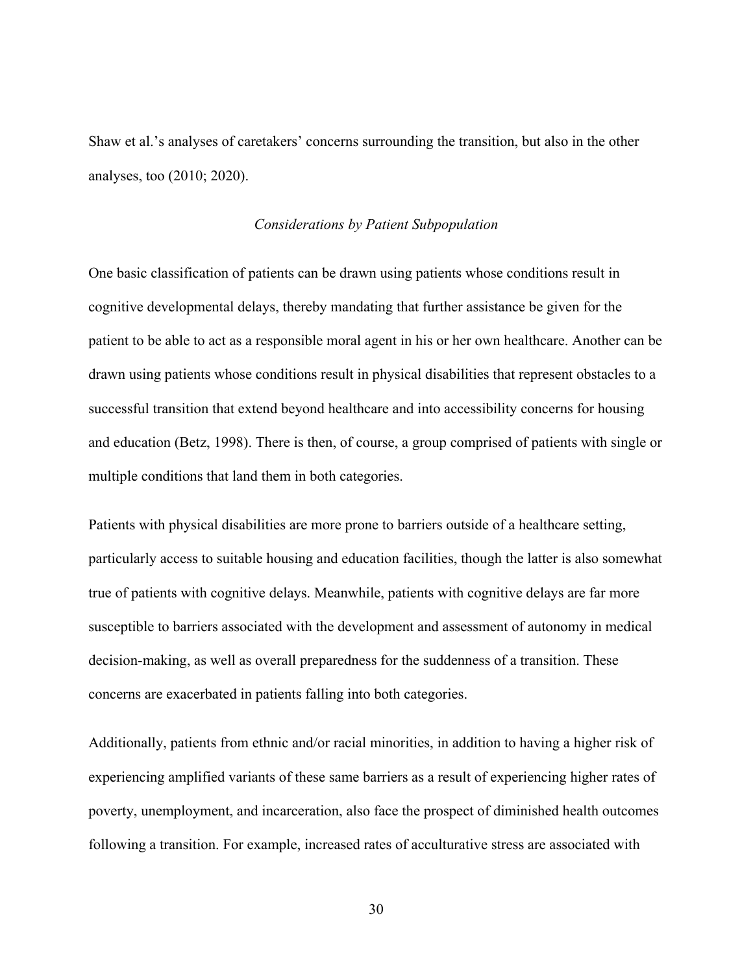<span id="page-35-0"></span>Shaw et al.'s analyses of caretakers' concerns surrounding the transition, but also in the other analyses, too (2010; 2020).

#### *Considerations by Patient Subpopulation*

One basic classification of patients can be drawn using patients whose conditions result in cognitive developmental delays, thereby mandating that further assistance be given for the patient to be able to act as a responsible moral agent in his or her own healthcare. Another can be drawn using patients whose conditions result in physical disabilities that represent obstacles to a successful transition that extend beyond healthcare and into accessibility concerns for housing and education (Betz, 1998). There is then, of course, a group comprised of patients with single or multiple conditions that land them in both categories.

Patients with physical disabilities are more prone to barriers outside of a healthcare setting, particularly access to suitable housing and education facilities, though the latter is also somewhat true of patients with cognitive delays. Meanwhile, patients with cognitive delays are far more susceptible to barriers associated with the development and assessment of autonomy in medical decision-making, as well as overall preparedness for the suddenness of a transition. These concerns are exacerbated in patients falling into both categories.

Additionally, patients from ethnic and/or racial minorities, in addition to having a higher risk of experiencing amplified variants of these same barriers as a result of experiencing higher rates of poverty, unemployment, and incarceration, also face the prospect of diminished health outcomes following a transition. For example, increased rates of acculturative stress are associated with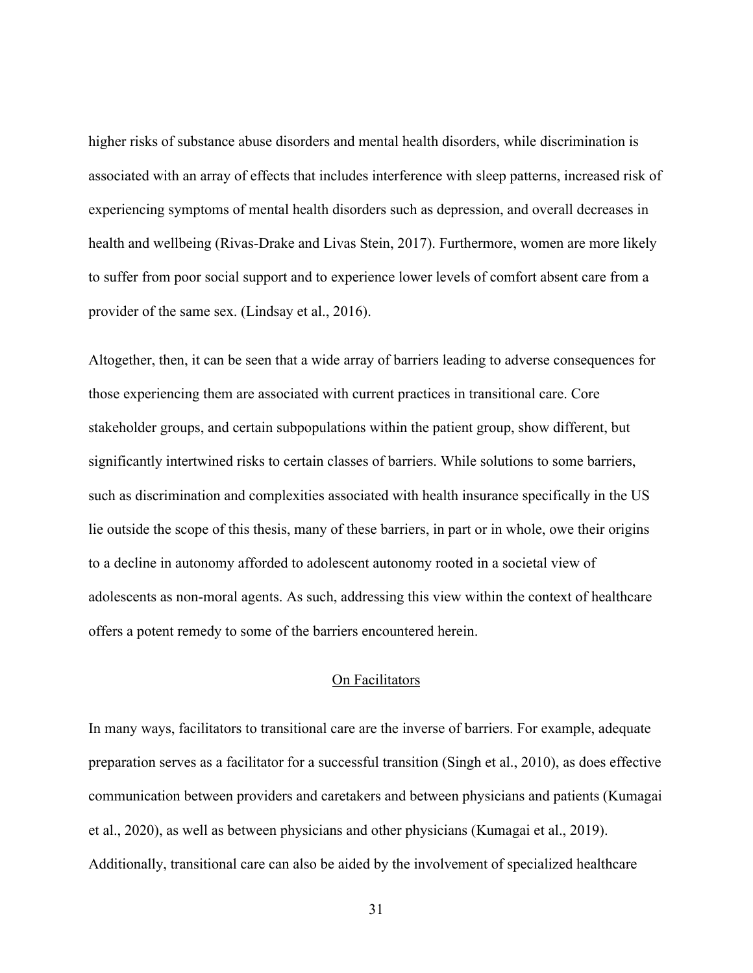higher risks of substance abuse disorders and mental health disorders, while discrimination is associated with an array of effects that includes interference with sleep patterns, increased risk of experiencing symptoms of mental health disorders such as depression, and overall decreases in health and wellbeing (Rivas-Drake and Livas Stein, 2017). Furthermore, women are more likely to suffer from poor social support and to experience lower levels of comfort absent care from a provider of the same sex. (Lindsay et al., 2016).

Altogether, then, it can be seen that a wide array of barriers leading to adverse consequences for those experiencing them are associated with current practices in transitional care. Core stakeholder groups, and certain subpopulations within the patient group, show different, but significantly intertwined risks to certain classes of barriers. While solutions to some barriers, such as discrimination and complexities associated with health insurance specifically in the US lie outside the scope of this thesis, many of these barriers, in part or in whole, owe their origins to a decline in autonomy afforded to adolescent autonomy rooted in a societal view of adolescents as non-moral agents. As such, addressing this view within the context of healthcare offers a potent remedy to some of the barriers encountered herein.

#### On Facilitators

<span id="page-36-0"></span>In many ways, facilitators to transitional care are the inverse of barriers. For example, adequate preparation serves as a facilitator for a successful transition (Singh et al., 2010), as does effective communication between providers and caretakers and between physicians and patients (Kumagai et al., 2020), as well as between physicians and other physicians (Kumagai et al., 2019). Additionally, transitional care can also be aided by the involvement of specialized healthcare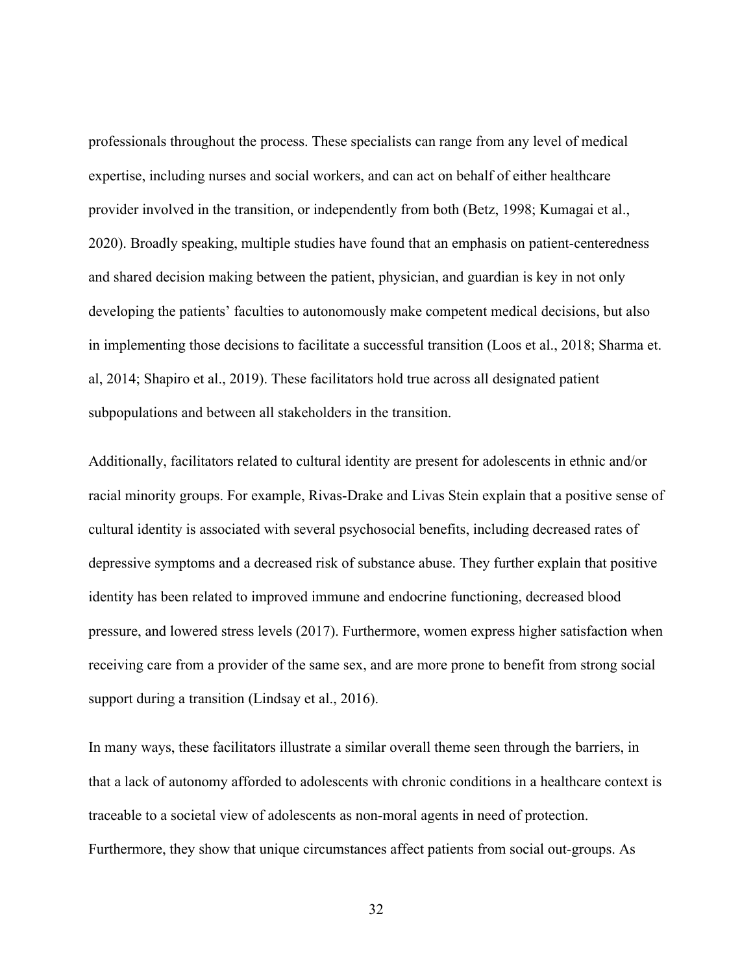professionals throughout the process. These specialists can range from any level of medical expertise, including nurses and social workers, and can act on behalf of either healthcare provider involved in the transition, or independently from both (Betz, 1998; Kumagai et al., 2020). Broadly speaking, multiple studies have found that an emphasis on patient-centeredness and shared decision making between the patient, physician, and guardian is key in not only developing the patients' faculties to autonomously make competent medical decisions, but also in implementing those decisions to facilitate a successful transition (Loos et al., 2018; Sharma et. al, 2014; Shapiro et al., 2019). These facilitators hold true across all designated patient subpopulations and between all stakeholders in the transition.

Additionally, facilitators related to cultural identity are present for adolescents in ethnic and/or racial minority groups. For example, Rivas-Drake and Livas Stein explain that a positive sense of cultural identity is associated with several psychosocial benefits, including decreased rates of depressive symptoms and a decreased risk of substance abuse. They further explain that positive identity has been related to improved immune and endocrine functioning, decreased blood pressure, and lowered stress levels (2017). Furthermore, women express higher satisfaction when receiving care from a provider of the same sex, and are more prone to benefit from strong social support during a transition (Lindsay et al., 2016).

In many ways, these facilitators illustrate a similar overall theme seen through the barriers, in that a lack of autonomy afforded to adolescents with chronic conditions in a healthcare context is traceable to a societal view of adolescents as non-moral agents in need of protection. Furthermore, they show that unique circumstances affect patients from social out-groups. As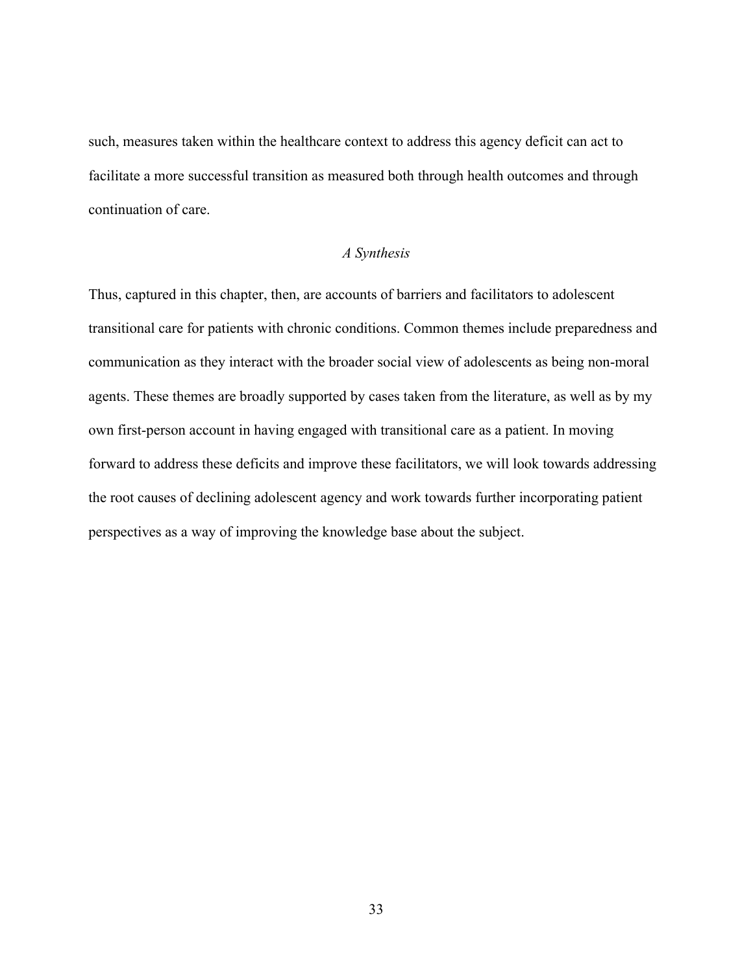such, measures taken within the healthcare context to address this agency deficit can act to facilitate a more successful transition as measured both through health outcomes and through continuation of care.

#### *A Synthesis*

<span id="page-38-0"></span>Thus, captured in this chapter, then, are accounts of barriers and facilitators to adolescent transitional care for patients with chronic conditions. Common themes include preparedness and communication as they interact with the broader social view of adolescents as being non-moral agents. These themes are broadly supported by cases taken from the literature, as well as by my own first-person account in having engaged with transitional care as a patient. In moving forward to address these deficits and improve these facilitators, we will look towards addressing the root causes of declining adolescent agency and work towards further incorporating patient perspectives as a way of improving the knowledge base about the subject.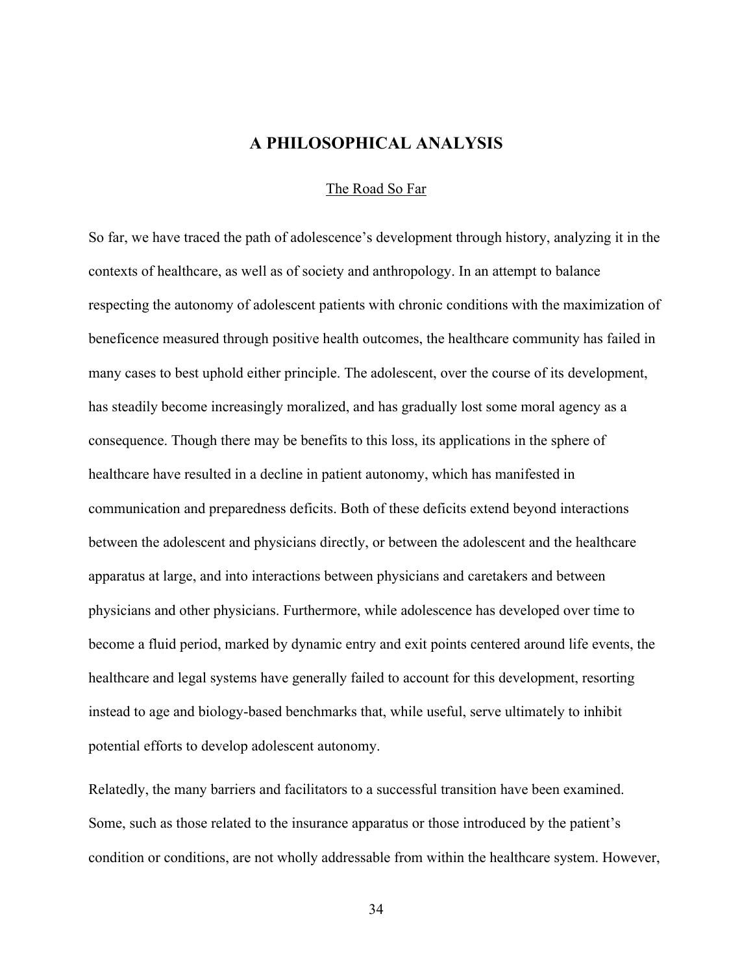## **A PHILOSOPHICAL ANALYSIS**

#### The Road So Far

<span id="page-39-1"></span><span id="page-39-0"></span>So far, we have traced the path of adolescence's development through history, analyzing it in the contexts of healthcare, as well as of society and anthropology. In an attempt to balance respecting the autonomy of adolescent patients with chronic conditions with the maximization of beneficence measured through positive health outcomes, the healthcare community has failed in many cases to best uphold either principle. The adolescent, over the course of its development, has steadily become increasingly moralized, and has gradually lost some moral agency as a consequence. Though there may be benefits to this loss, its applications in the sphere of healthcare have resulted in a decline in patient autonomy, which has manifested in communication and preparedness deficits. Both of these deficits extend beyond interactions between the adolescent and physicians directly, or between the adolescent and the healthcare apparatus at large, and into interactions between physicians and caretakers and between physicians and other physicians. Furthermore, while adolescence has developed over time to become a fluid period, marked by dynamic entry and exit points centered around life events, the healthcare and legal systems have generally failed to account for this development, resorting instead to age and biology-based benchmarks that, while useful, serve ultimately to inhibit potential efforts to develop adolescent autonomy.

Relatedly, the many barriers and facilitators to a successful transition have been examined. Some, such as those related to the insurance apparatus or those introduced by the patient's condition or conditions, are not wholly addressable from within the healthcare system. However,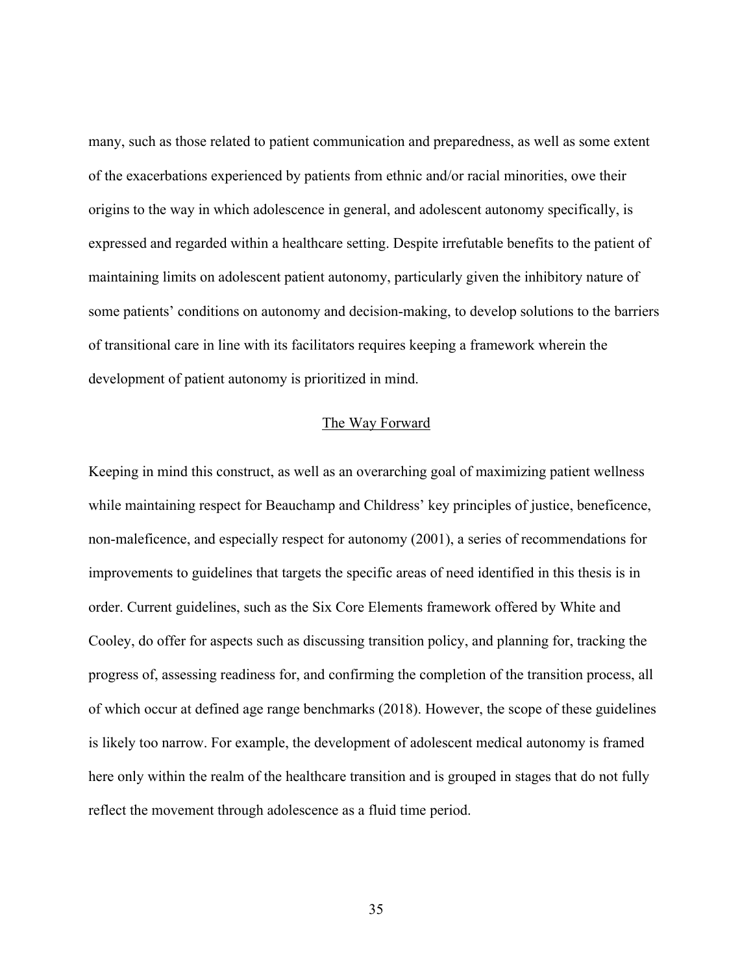many, such as those related to patient communication and preparedness, as well as some extent of the exacerbations experienced by patients from ethnic and/or racial minorities, owe their origins to the way in which adolescence in general, and adolescent autonomy specifically, is expressed and regarded within a healthcare setting. Despite irrefutable benefits to the patient of maintaining limits on adolescent patient autonomy, particularly given the inhibitory nature of some patients' conditions on autonomy and decision-making, to develop solutions to the barriers of transitional care in line with its facilitators requires keeping a framework wherein the development of patient autonomy is prioritized in mind.

#### The Way Forward

<span id="page-40-0"></span>Keeping in mind this construct, as well as an overarching goal of maximizing patient wellness while maintaining respect for Beauchamp and Childress' key principles of justice, beneficence, non-maleficence, and especially respect for autonomy (2001), a series of recommendations for improvements to guidelines that targets the specific areas of need identified in this thesis is in order. Current guidelines, such as the Six Core Elements framework offered by White and Cooley, do offer for aspects such as discussing transition policy, and planning for, tracking the progress of, assessing readiness for, and confirming the completion of the transition process, all of which occur at defined age range benchmarks (2018). However, the scope of these guidelines is likely too narrow. For example, the development of adolescent medical autonomy is framed here only within the realm of the healthcare transition and is grouped in stages that do not fully reflect the movement through adolescence as a fluid time period.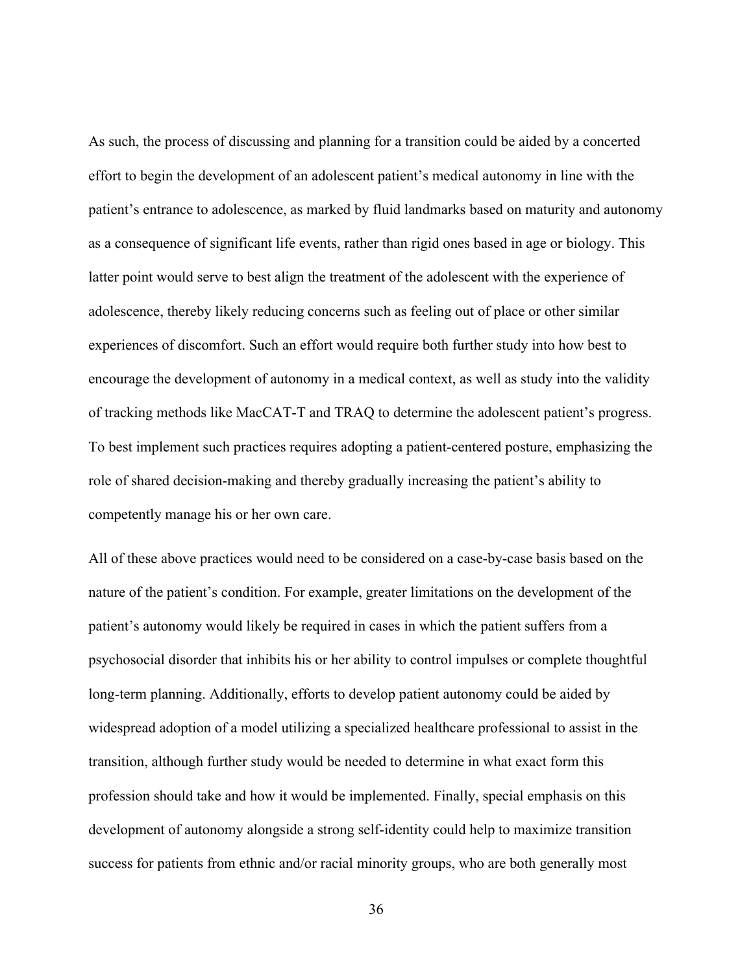As such, the process of discussing and planning for a transition could be aided by a concerted effort to begin the development of an adolescent patient's medical autonomy in line with the patient's entrance to adolescence, as marked by fluid landmarks based on maturity and autonomy as a consequence of significant life events, rather than rigid ones based in age or biology. This latter point would serve to best align the treatment of the adolescent with the experience of adolescence, thereby likely reducing concerns such as feeling out of place or other similar experiences of discomfort. Such an effort would require both further study into how best to encourage the development of autonomy in a medical context, as well as study into the validity of tracking methods like MacCAT-T and TRAQ to determine the adolescent patient's progress. To best implement such practices requires adopting a patient-centered posture, emphasizing the role of shared decision-making and thereby gradually increasing the patient's ability to competently manage his or her own care.

All of these above practices would need to be considered on a case-by-case basis based on the nature of the patient's condition. For example, greater limitations on the development of the patient's autonomy would likely be required in cases in which the patient suffers from a psychosocial disorder that inhibits his or her ability to control impulses or complete thoughtful long-term planning. Additionally, efforts to develop patient autonomy could be aided by widespread adoption of a model utilizing a specialized healthcare professional to assist in the transition, although further study would be needed to determine in what exact form this profession should take and how it would be implemented. Finally, special emphasis on this development of autonomy alongside a strong self-identity could help to maximize transition success for patients from ethnic and/or racial minority groups, who are both generally most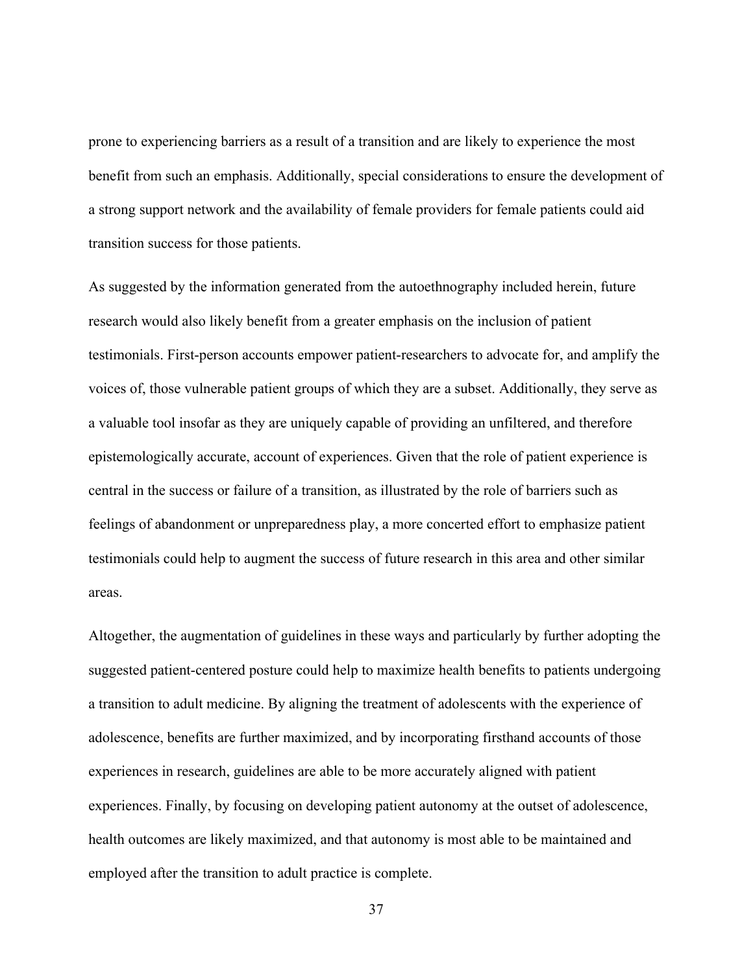prone to experiencing barriers as a result of a transition and are likely to experience the most benefit from such an emphasis. Additionally, special considerations to ensure the development of a strong support network and the availability of female providers for female patients could aid transition success for those patients.

As suggested by the information generated from the autoethnography included herein, future research would also likely benefit from a greater emphasis on the inclusion of patient testimonials. First-person accounts empower patient-researchers to advocate for, and amplify the voices of, those vulnerable patient groups of which they are a subset. Additionally, they serve as a valuable tool insofar as they are uniquely capable of providing an unfiltered, and therefore epistemologically accurate, account of experiences. Given that the role of patient experience is central in the success or failure of a transition, as illustrated by the role of barriers such as feelings of abandonment or unpreparedness play, a more concerted effort to emphasize patient testimonials could help to augment the success of future research in this area and other similar areas.

Altogether, the augmentation of guidelines in these ways and particularly by further adopting the suggested patient-centered posture could help to maximize health benefits to patients undergoing a transition to adult medicine. By aligning the treatment of adolescents with the experience of adolescence, benefits are further maximized, and by incorporating firsthand accounts of those experiences in research, guidelines are able to be more accurately aligned with patient experiences. Finally, by focusing on developing patient autonomy at the outset of adolescence, health outcomes are likely maximized, and that autonomy is most able to be maintained and employed after the transition to adult practice is complete.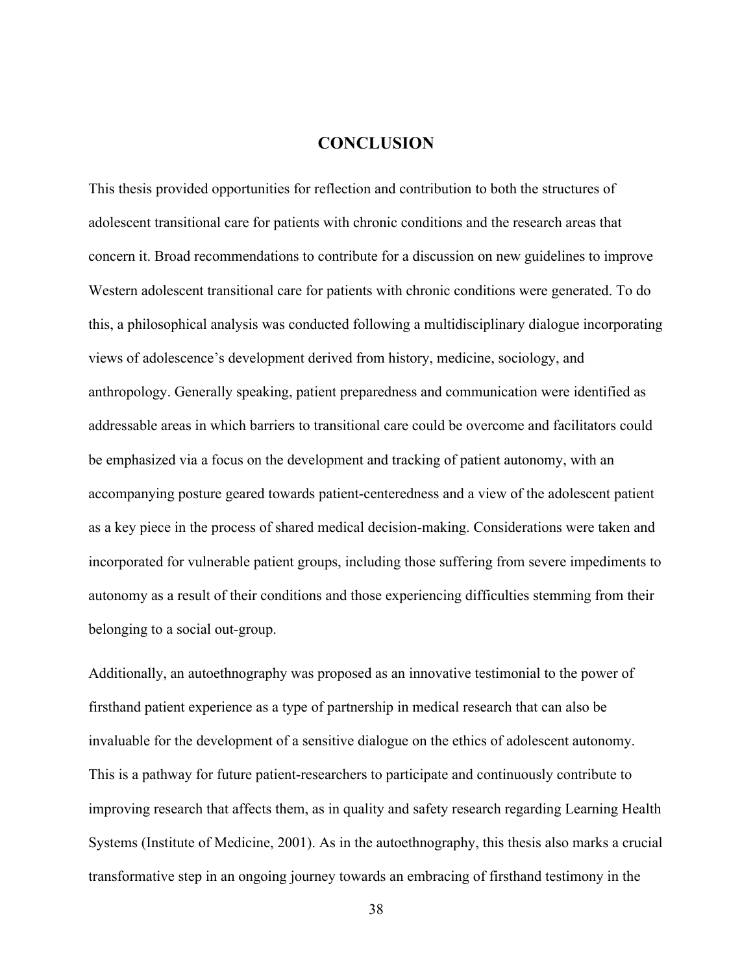## **CONCLUSION**

<span id="page-43-0"></span>This thesis provided opportunities for reflection and contribution to both the structures of adolescent transitional care for patients with chronic conditions and the research areas that concern it. Broad recommendations to contribute for a discussion on new guidelines to improve Western adolescent transitional care for patients with chronic conditions were generated. To do this, a philosophical analysis was conducted following a multidisciplinary dialogue incorporating views of adolescence's development derived from history, medicine, sociology, and anthropology. Generally speaking, patient preparedness and communication were identified as addressable areas in which barriers to transitional care could be overcome and facilitators could be emphasized via a focus on the development and tracking of patient autonomy, with an accompanying posture geared towards patient-centeredness and a view of the adolescent patient as a key piece in the process of shared medical decision-making. Considerations were taken and incorporated for vulnerable patient groups, including those suffering from severe impediments to autonomy as a result of their conditions and those experiencing difficulties stemming from their belonging to a social out-group.

Additionally, an autoethnography was proposed as an innovative testimonial to the power of firsthand patient experience as a type of partnership in medical research that can also be invaluable for the development of a sensitive dialogue on the ethics of adolescent autonomy. This is a pathway for future patient-researchers to participate and continuously contribute to improving research that affects them, as in quality and safety research regarding Learning Health Systems (Institute of Medicine, 2001). As in the autoethnography, this thesis also marks a crucial transformative step in an ongoing journey towards an embracing of firsthand testimony in the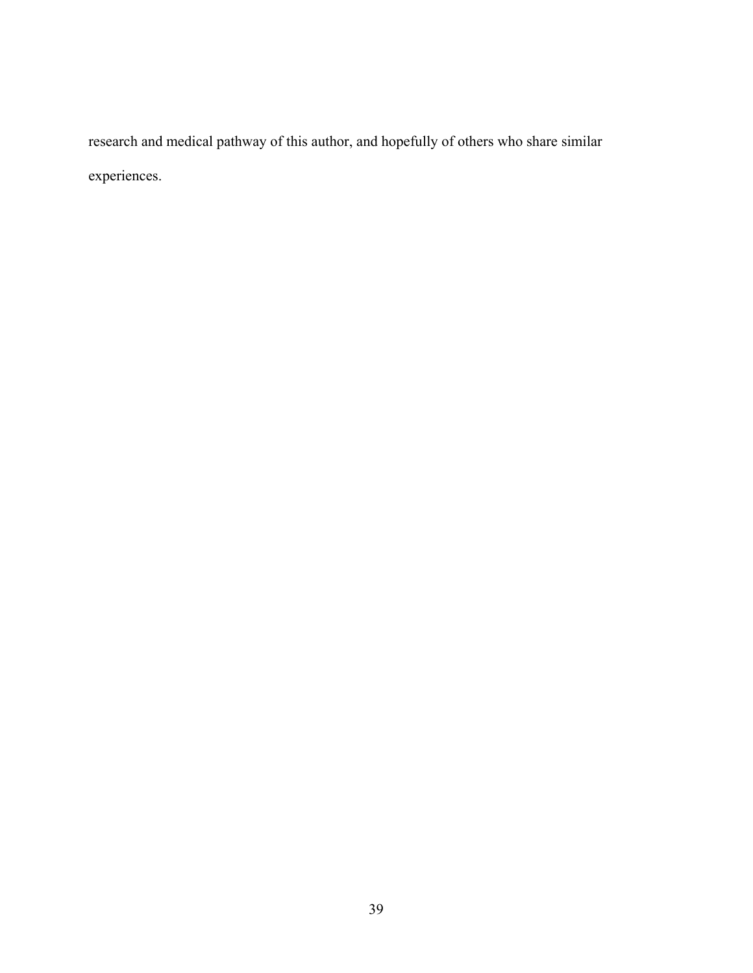research and medical pathway of this author, and hopefully of others who share similar experiences.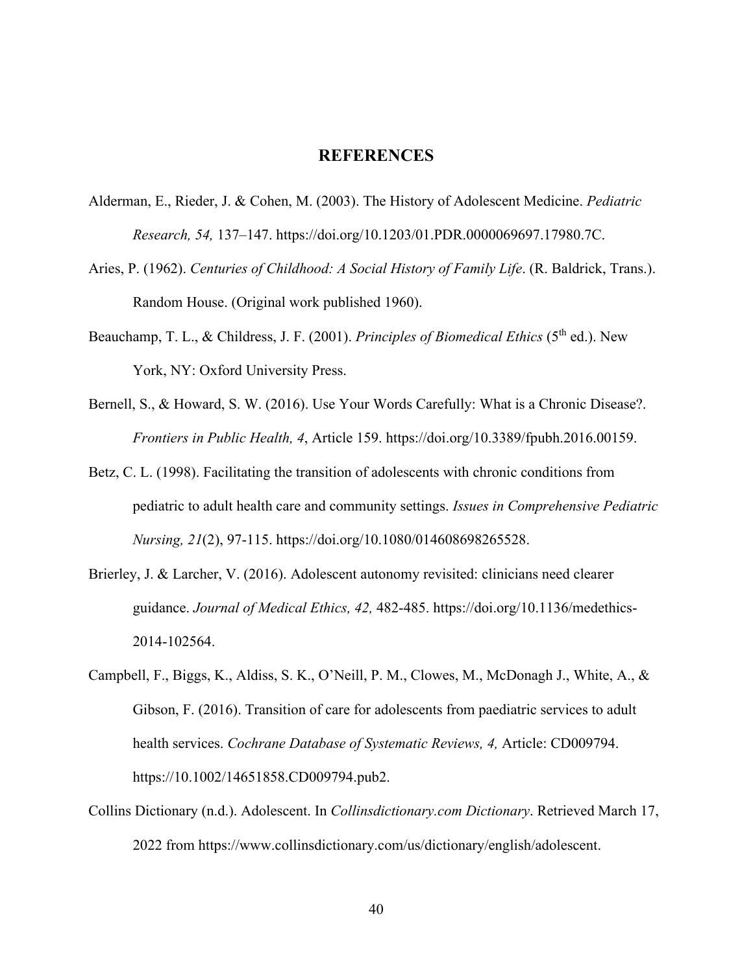### **REFERENCES**

- <span id="page-45-0"></span>Alderman, E., Rieder, J. & Cohen, M. (2003). The History of Adolescent Medicine. *Pediatric Research, 54,* 137–147. https://doi.org/10.1203/01.PDR.0000069697.17980.7C.
- Aries, P. (1962). *Centuries of Childhood: A Social History of Family Life*. (R. Baldrick, Trans.). Random House. (Original work published 1960).
- Beauchamp, T. L., & Childress, J. F. (2001). *Principles of Biomedical Ethics* (5<sup>th</sup> ed.). New York, NY: Oxford University Press.
- Bernell, S., & Howard, S. W. (2016). Use Your Words Carefully: What is a Chronic Disease?. *Frontiers in Public Health, 4*, Article 159. https://doi.org/10.3389/fpubh.2016.00159.
- Betz, C. L. (1998). Facilitating the transition of adolescents with chronic conditions from pediatric to adult health care and community settings. *Issues in Comprehensive Pediatric Nursing, 21*(2), 97-115. https://doi.org/10.1080/014608698265528.
- Brierley, J. & Larcher, V. (2016). Adolescent autonomy revisited: clinicians need clearer guidance. *Journal of Medical Ethics, 42,* 482-485. https://doi.org/10.1136/medethics-2014-102564.
- Campbell, F., Biggs, K., Aldiss, S. K., O'Neill, P. M., Clowes, M., McDonagh J., White, A., & Gibson, F. (2016). Transition of care for adolescents from paediatric services to adult health services. *Cochrane Database of Systematic Reviews, 4,* Article: CD009794. https://10.1002/14651858.CD009794.pub2.
- Collins Dictionary (n.d.). Adolescent. In *Collinsdictionary.com Dictionary*. Retrieved March 17, 2022 from https://www.collinsdictionary.com/us/dictionary/english/adolescent.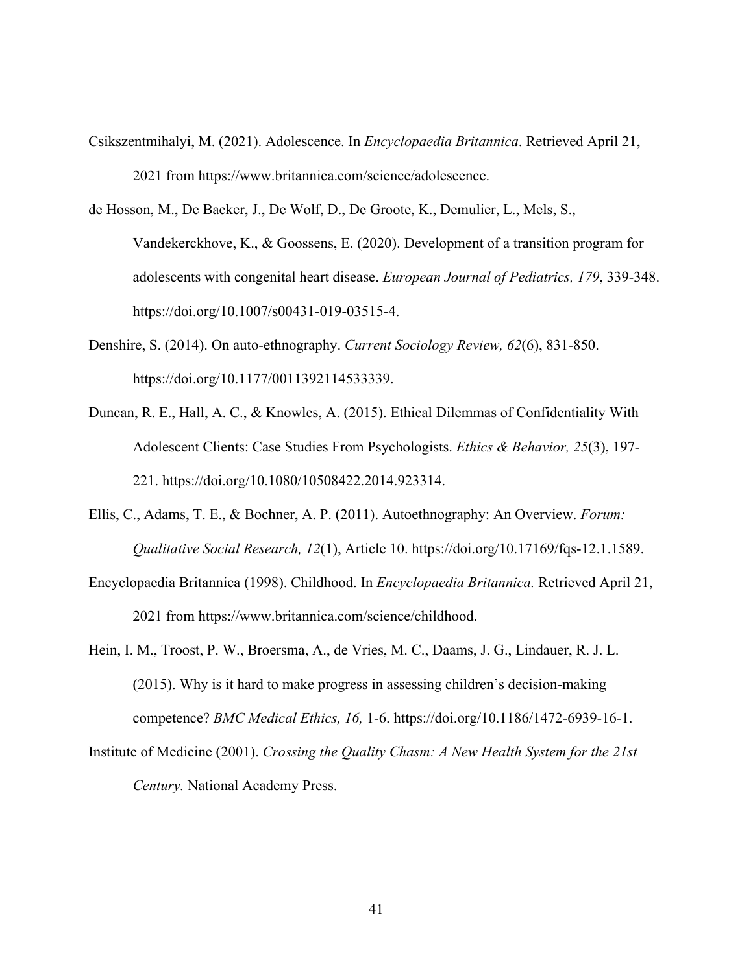- Csikszentmihalyi, M. (2021). Adolescence. In *Encyclopaedia Britannica*. Retrieved April 21, 2021 from https://www.britannica.com/science/adolescence.
- de Hosson, M., De Backer, J., De Wolf, D., De Groote, K., Demulier, L., Mels, S., Vandekerckhove, K., & Goossens, E. (2020). Development of a transition program for adolescents with congenital heart disease. *European Journal of Pediatrics, 179*, 339-348. https://doi.org/10.1007/s00431-019-03515-4.
- Denshire, S. (2014). On auto-ethnography. *Current Sociology Review, 62*(6), 831-850. https://doi.org/10.1177/0011392114533339.
- Duncan, R. E., Hall, A. C., & Knowles, A. (2015). Ethical Dilemmas of Confidentiality With Adolescent Clients: Case Studies From Psychologists. *Ethics & Behavior, 25*(3), 197- 221. https://doi.org/10.1080/10508422.2014.923314.
- Ellis, C., Adams, T. E., & Bochner, A. P. (2011). Autoethnography: An Overview. *Forum: Qualitative Social Research, 12*(1), Article 10. https://doi.org/10.17169/fqs-12.1.1589.
- Encyclopaedia Britannica (1998). Childhood. In *Encyclopaedia Britannica.* Retrieved April 21, 2021 from https://www.britannica.com/science/childhood.
- Hein, I. M., Troost, P. W., Broersma, A., de Vries, M. C., Daams, J. G., Lindauer, R. J. L. (2015). Why is it hard to make progress in assessing children's decision-making competence? *BMC Medical Ethics, 16,* 1-6. https://doi.org/10.1186/1472-6939-16-1.
- Institute of Medicine (2001). *Crossing the Quality Chasm: A New Health System for the 21st Century.* National Academy Press.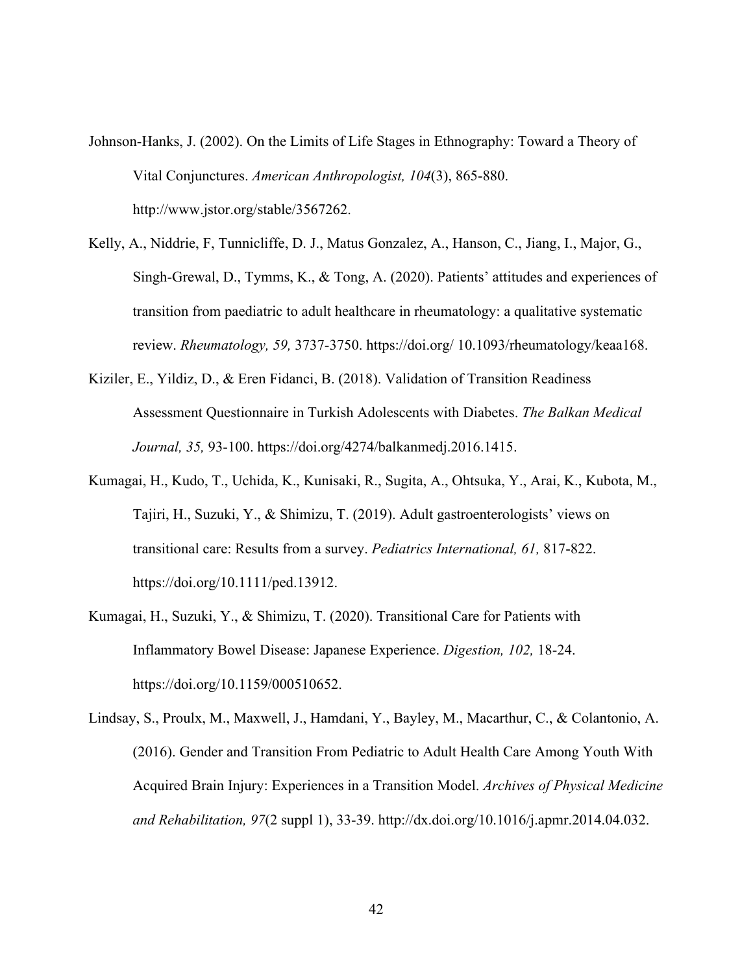- Johnson-Hanks, J. (2002). On the Limits of Life Stages in Ethnography: Toward a Theory of Vital Conjunctures. *American Anthropologist, 104*(3), 865-880. http://www.jstor.org/stable/3567262.
- Kelly, A., Niddrie, F, Tunnicliffe, D. J., Matus Gonzalez, A., Hanson, C., Jiang, I., Major, G., Singh-Grewal, D., Tymms, K., & Tong, A. (2020). Patients' attitudes and experiences of transition from paediatric to adult healthcare in rheumatology: a qualitative systematic review. *Rheumatology, 59,* 3737-3750. https://doi.org/ 10.1093/rheumatology/keaa168.
- Kiziler, E., Yildiz, D., & Eren Fidanci, B. (2018). Validation of Transition Readiness Assessment Questionnaire in Turkish Adolescents with Diabetes. *The Balkan Medical Journal, 35,* 93-100. https://doi.org/4274/balkanmedj.2016.1415.
- Kumagai, H., Kudo, T., Uchida, K., Kunisaki, R., Sugita, A., Ohtsuka, Y., Arai, K., Kubota, M., Tajiri, H., Suzuki, Y., & Shimizu, T. (2019). Adult gastroenterologists' views on transitional care: Results from a survey. *Pediatrics International, 61,* 817-822. https://doi.org/10.1111/ped.13912.
- Kumagai, H., Suzuki, Y., & Shimizu, T. (2020). Transitional Care for Patients with Inflammatory Bowel Disease: Japanese Experience. *Digestion, 102,* 18-24. https://doi.org/10.1159/000510652.
- Lindsay, S., Proulx, M., Maxwell, J., Hamdani, Y., Bayley, M., Macarthur, C., & Colantonio, A. (2016). Gender and Transition From Pediatric to Adult Health Care Among Youth With Acquired Brain Injury: Experiences in a Transition Model. *Archives of Physical Medicine and Rehabilitation, 97*(2 suppl 1), 33-39. http://dx.doi.org/10.1016/j.apmr.2014.04.032.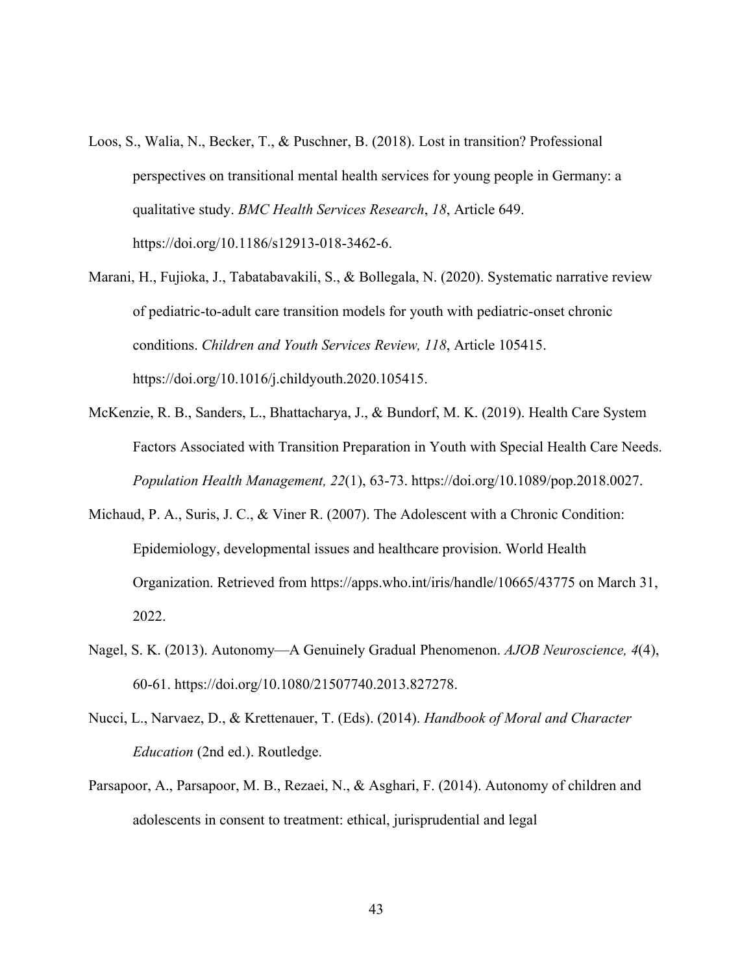- Loos, S., Walia, N., Becker, T., & Puschner, B. (2018). Lost in transition? Professional perspectives on transitional mental health services for young people in Germany: a qualitative study. *BMC Health Services Research*, *18*, Article 649. https://doi.org/10.1186/s12913-018-3462-6.
- Marani, H., Fujioka, J., Tabatabavakili, S., & Bollegala, N. (2020). Systematic narrative review of pediatric-to-adult care transition models for youth with pediatric-onset chronic conditions. *Children and Youth Services Review, 118*, Article 105415. https://doi.org/10.1016/j.childyouth.2020.105415.
- McKenzie, R. B., Sanders, L., Bhattacharya, J., & Bundorf, M. K. (2019). Health Care System Factors Associated with Transition Preparation in Youth with Special Health Care Needs. *Population Health Management, 22*(1), 63-73. https://doi.org/10.1089/pop.2018.0027.
- Michaud, P. A., Suris, J. C., & Viner R. (2007). The Adolescent with a Chronic Condition: Epidemiology, developmental issues and healthcare provision. World Health Organization. Retrieved from https://apps.who.int/iris/handle/10665/43775 on March 31, 2022.
- Nagel, S. K. (2013). Autonomy—A Genuinely Gradual Phenomenon. *AJOB Neuroscience, 4*(4), 60-61. https://doi.org/10.1080/21507740.2013.827278.
- Nucci, L., Narvaez, D., & Krettenauer, T. (Eds). (2014). *Handbook of Moral and Character Education* (2nd ed.). Routledge.
- Parsapoor, A., Parsapoor, M. B., Rezaei, N., & Asghari, F. (2014). Autonomy of children and adolescents in consent to treatment: ethical, jurisprudential and legal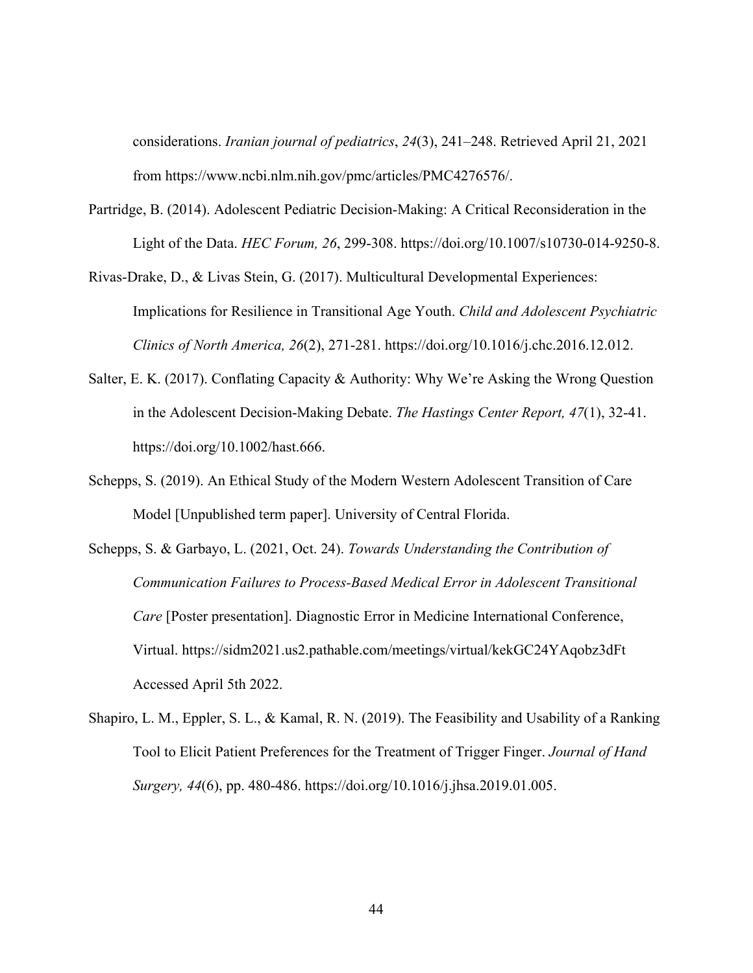considerations. *Iranian journal of pediatrics*, *24*(3), 241–248. Retrieved April 21, 2021 from https://www.ncbi.nlm.nih.gov/pmc/articles/PMC4276576/.

- Partridge, B. (2014). Adolescent Pediatric Decision-Making: A Critical Reconsideration in the Light of the Data. *HEC Forum, 26*, 299-308. https://doi.org/10.1007/s10730-014-9250-8.
- Rivas-Drake, D., & Livas Stein, G. (2017). Multicultural Developmental Experiences: Implications for Resilience in Transitional Age Youth. *Child and Adolescent Psychiatric Clinics of North America, 26*(2), 271-281. https://doi.org/10.1016/j.chc.2016.12.012.
- Salter, E. K. (2017). Conflating Capacity & Authority: Why We're Asking the Wrong Question in the Adolescent Decision-Making Debate. *The Hastings Center Report, 47*(1), 32-41. https://doi.org/10.1002/hast.666.
- Schepps, S. (2019). An Ethical Study of the Modern Western Adolescent Transition of Care Model [Unpublished term paper]. University of Central Florida.
- Schepps, S. & Garbayo, L. (2021, Oct. 24). *Towards Understanding the Contribution of Communication Failures to Process-Based Medical Error in Adolescent Transitional Care* [Poster presentation]. Diagnostic Error in Medicine International Conference, Virtual. https://sidm2021.us2.pathable.com/meetings/virtual/kekGC24YAqobz3dFt Accessed April 5th 2022.
- Shapiro, L. M., Eppler, S. L., & Kamal, R. N. (2019). The Feasibility and Usability of a Ranking Tool to Elicit Patient Preferences for the Treatment of Trigger Finger. *Journal of Hand Surgery, 44*(6), pp. 480-486. https://doi.org/10.1016/j.jhsa.2019.01.005.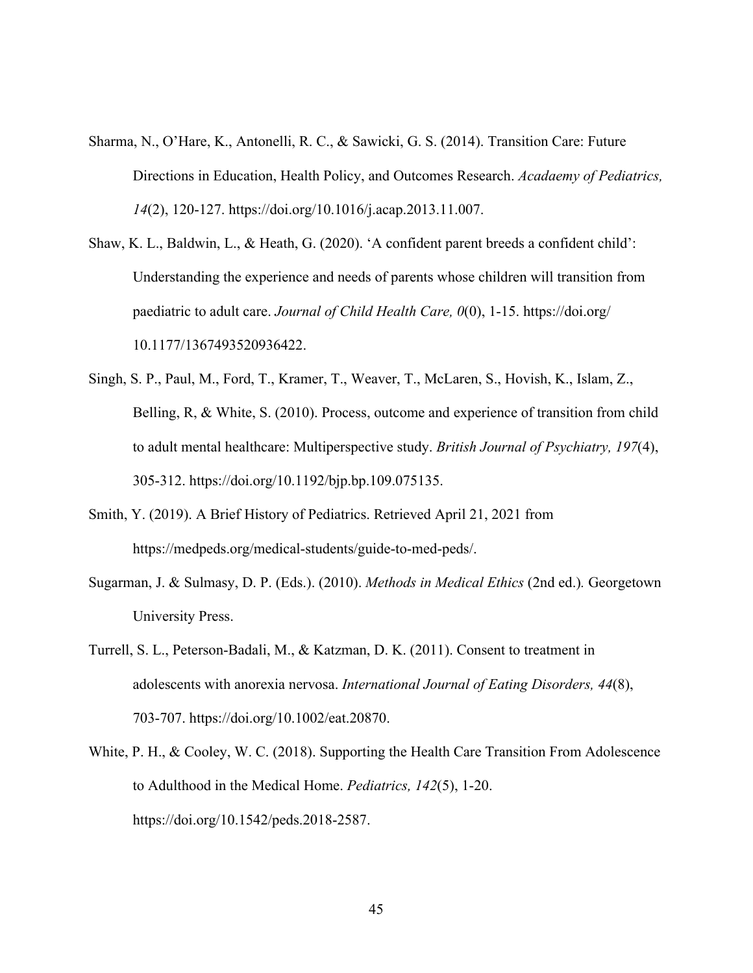- Sharma, N., O'Hare, K., Antonelli, R. C., & Sawicki, G. S. (2014). Transition Care: Future Directions in Education, Health Policy, and Outcomes Research. *Acadaemy of Pediatrics, 14*(2), 120-127. https://doi.org/10.1016/j.acap.2013.11.007.
- Shaw, K. L., Baldwin, L., & Heath, G. (2020). 'A confident parent breeds a confident child': Understanding the experience and needs of parents whose children will transition from paediatric to adult care. *Journal of Child Health Care, 0*(0), 1-15. https://doi.org/ 10.1177/1367493520936422.
- Singh, S. P., Paul, M., Ford, T., Kramer, T., Weaver, T., McLaren, S., Hovish, K., Islam, Z., Belling, R, & White, S. (2010). Process, outcome and experience of transition from child to adult mental healthcare: Multiperspective study. *British Journal of Psychiatry, 197*(4), 305-312. https://doi.org/10.1192/bjp.bp.109.075135.
- Smith, Y. (2019). A Brief History of Pediatrics. Retrieved April 21, 2021 from https://medpeds.org/medical-students/guide-to-med-peds/.
- Sugarman, J. & Sulmasy, D. P. (Eds.). (2010). *Methods in Medical Ethics* (2nd ed.)*.* Georgetown University Press.
- Turrell, S. L., Peterson-Badali, M., & Katzman, D. K. (2011). Consent to treatment in adolescents with anorexia nervosa. *International Journal of Eating Disorders, 44*(8), 703-707. https://doi.org/10.1002/eat.20870.
- White, P. H., & Cooley, W. C. (2018). Supporting the Health Care Transition From Adolescence to Adulthood in the Medical Home. *Pediatrics, 142*(5), 1-20. https://doi.org/10.1542/peds.2018-2587.